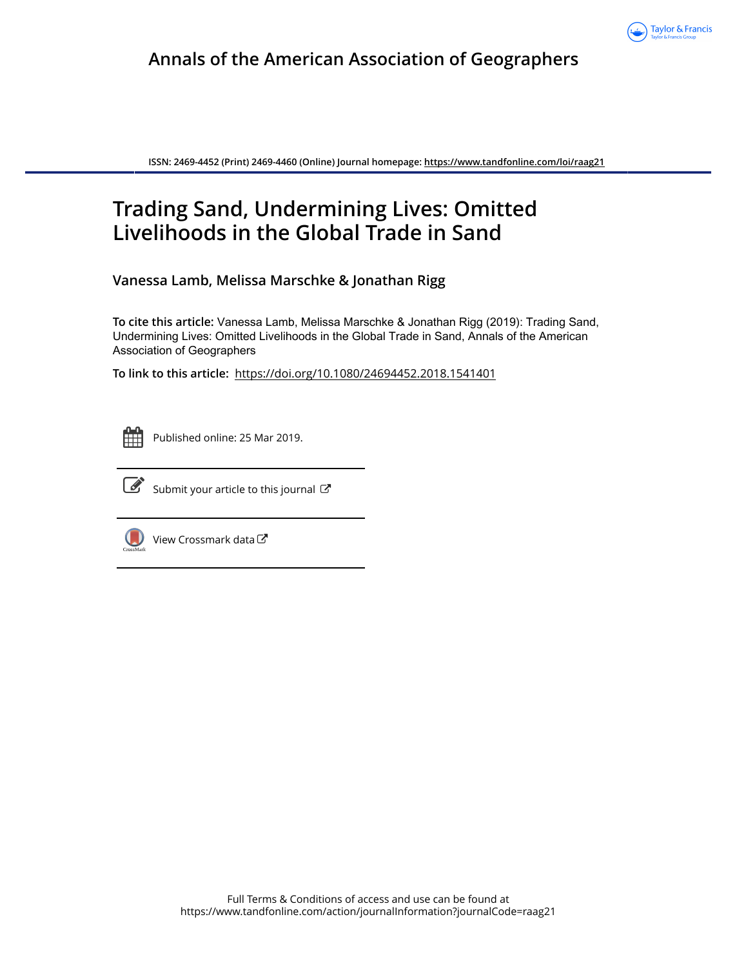

# **Annals of the American Association of Geographers**

**ISSN: 2469-4452 (Print) 2469-4460 (Online) Journal homepage:<https://www.tandfonline.com/loi/raag21>**

# **Trading Sand, Undermining Lives: Omitted Livelihoods in the Global Trade in Sand**

**Vanessa Lamb, Melissa Marschke & Jonathan Rigg**

**To cite this article:** Vanessa Lamb, Melissa Marschke & Jonathan Rigg (2019): Trading Sand, Undermining Lives: Omitted Livelihoods in the Global Trade in Sand, Annals of the American Association of Geographers

**To link to this article:** <https://doi.org/10.1080/24694452.2018.1541401>



Published online: 25 Mar 2019.



 $\overrightarrow{S}$  [Submit your article to this journal](https://www.tandfonline.com/action/authorSubmission?journalCode=raag21&show=instructions)  $\overrightarrow{S}$ 



 $\bigcirc$  [View Crossmark data](http://crossmark.crossref.org/dialog/?doi=10.1080/24694452.2018.1541401&domain=pdf&date_stamp=2019-03-25) $\mathbb{Z}$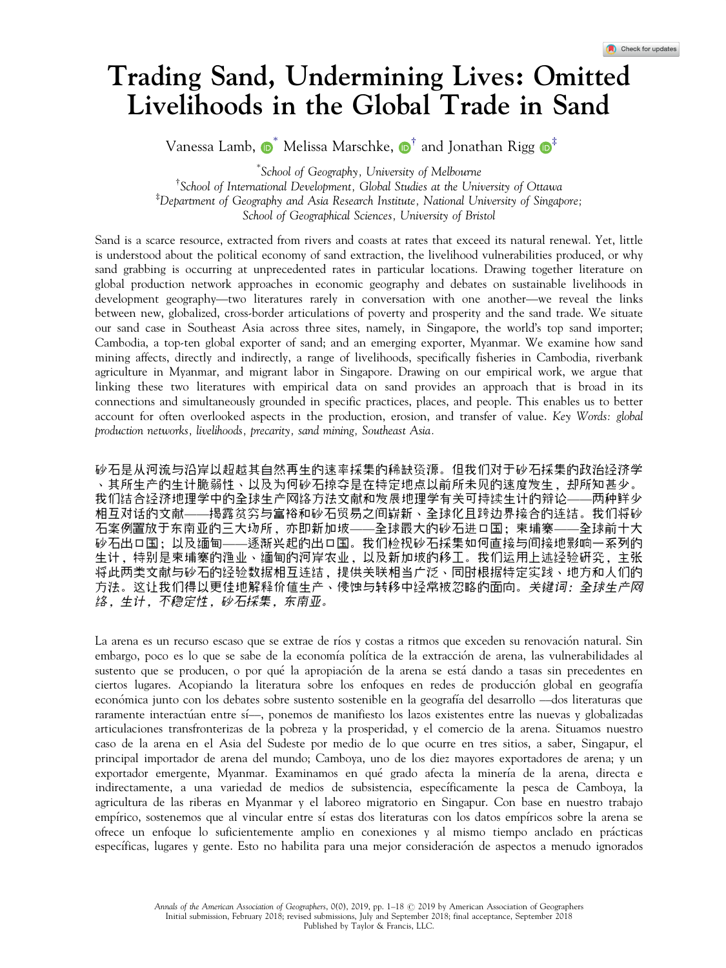# Trading Sand, Undermining Lives: Omitted Livelihoods in the Global Trade in Sand

Vanessa Lamb,  $\mathbf{D}^*$  Melissa Marschke,  $\mathbf{D}^{\dagger}$  and Jonathan Rigg  $\mathbf{D}^{\ddagger}$ 

 School of Geography, University of Melbourne † School of International Development, Global Studies at the University of Ottawa ‡ Department of Geography and Asia Research Institute, National University of Singapore; School of Geographical Sciences, University of Bristol

Sand is a scarce resource, extracted from rivers and coasts at rates that exceed its natural renewal. Yet, little is understood about the political economy of sand extraction, the livelihood vulnerabilities produced, or why sand grabbing is occurring at unprecedented rates in particular locations. Drawing together literature on global production network approaches in economic geography and debates on sustainable livelihoods in development geography—two literatures rarely in conversation with one another—we reveal the links between new, globalized, cross-border articulations of poverty and prosperity and the sand trade. We situate our sand case in Southeast Asia across three sites, namely, in Singapore, the world's top sand importer; Cambodia, a top-ten global exporter of sand; and an emerging exporter, Myanmar. We examine how sand mining affects, directly and indirectly, a range of livelihoods, specifically fisheries in Cambodia, riverbank agriculture in Myanmar, and migrant labor in Singapore. Drawing on our empirical work, we argue that linking these two literatures with empirical data on sand provides an approach that is broad in its connections and simultaneously grounded in specific practices, places, and people. This enables us to better account for often overlooked aspects in the production, erosion, and transfer of value. Key Words: global production networks, livelihoods, precarity, sand mining, Southeast Asia.

砂石是从河流与沿岸以超越其自然再生的速率採集的稀缺资源。但我们对于砂石採集的政治经济学 、其所生产的生计脆弱性、以及为何砂石掠夺是在特定地点以前所未见的速度发生,却所知甚少。 我们结合经济地理学中的全球生产网络方法文献和发展地理学有关可持续生计的辩论——两种鲜少 相互对话的文献——揭露贫穷与富裕和砂石贸易之间崭新、全球化且跨边界接合的连结。我们将砂 石案例置放于东南亚的三大场所,亦即新加坡——全球最大的砂石进口国;柬埔寨——全球前十大 砂石出口国;以及缅甸——逐渐兴起的出口国。我们检视砂石採集如何直接与间接地影响一系列的 生计,特别是柬埔寨的渔业、缅甸的河岸农业,以及新加坡的移工。我们运用上述经验研究,主张 将此两类文献与砂石的经验数据相互连结,提供关联相当广泛、同时根据特定实践、地方和人们的 方法。这让我们得以更佳地解释价值生产、侵蚀与转移中经常被忽略的面向。关键词:全球生产网 络,生计,不稳定性,砂石採集,东南亚。

La arena es un recurso escaso que se extrae de ríos y costas a ritmos que exceden su renovación natural. Sin embargo, poco es lo que se sabe de la economía política de la extracción de arena, las vulnerabilidades al sustento que se producen, o por qué la apropiación de la arena se está dando a tasas sin precedentes en ciertos lugares. Acopiando la literatura sobre los enfoques en redes de produccion global en geografıa económica junto con los debates sobre sustento sostenible en la geografía del desarrollo —dos literaturas que raramente interactúan entre sí—, ponemos de manifiesto los lazos existentes entre las nuevas y globalizadas articulaciones transfronterizas de la pobreza y la prosperidad, y el comercio de la arena. Situamos nuestro caso de la arena en el Asia del Sudeste por medio de lo que ocurre en tres sitios, a saber, Singapur, el principal importador de arena del mundo; Camboya, uno de los diez mayores exportadores de arena; y un exportador emergente, Myanmar. Examinamos en qué grado afecta la minería de la arena, directa e indirectamente, a una variedad de medios de subsistencia, específicamente la pesca de Camboya, la agricultura de las riberas en Myanmar y el laboreo migratorio en Singapur. Con base en nuestro trabajo empírico, sostenemos que al vincular entre sí estas dos literaturas con los datos empíricos sobre la arena se ofrece un enfoque lo suficientemente amplio en conexiones y al mismo tiempo anclado en practicas específicas, lugares y gente. Esto no habilita para una mejor consideración de aspectos a menudo ignorados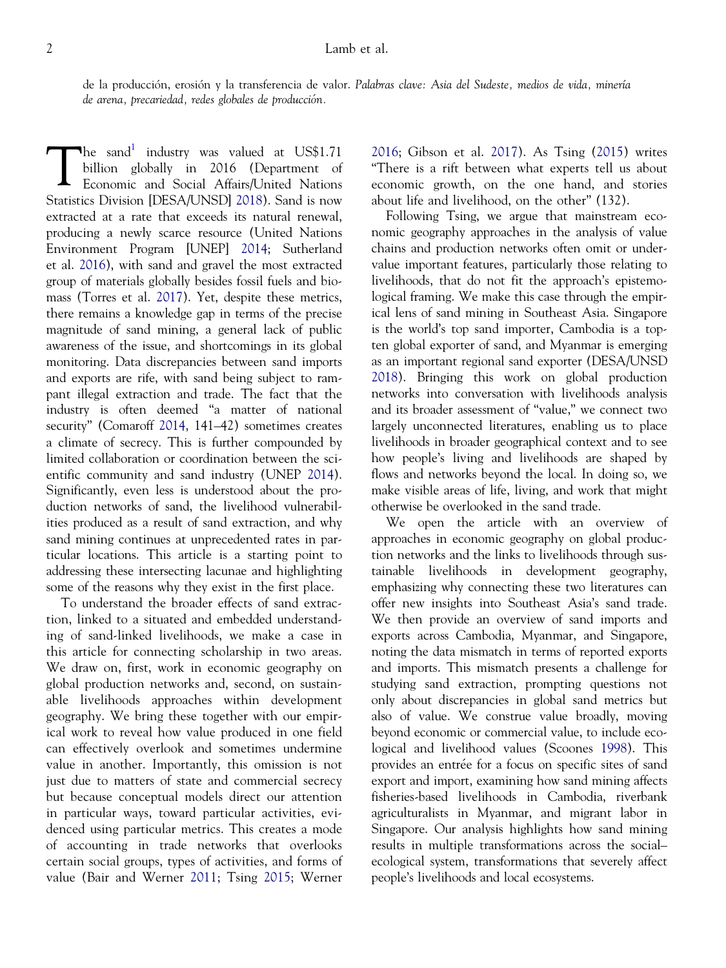de la producción, erosión y la transferencia de valor. Palabras clave: Asia del Sudeste, medios de vida, minería de arena, precariedad, redes globales de producción.

The sand<sup>1</sup> industry was valued at US\$1.71<br>billion globally in 2016 (Department of<br>Economic and Social Affairs/United Nations billion globally in 2016 (Department of Economic and Social Affairs/United Nations Statistics Division [DESA/UNSD] [2018\)](#page-16-0). Sand is now extracted at a rate that exceeds its natural renewal, producing a newly scarce resource (United Nations Environment Program [UNEP] [2014;](#page-18-0) Sutherland et al. [2016](#page-18-0)), with sand and gravel the most extracted group of materials globally besides fossil fuels and biomass (Torres et al. [2017](#page-18-0)). Yet, despite these metrics, there remains a knowledge gap in terms of the precise magnitude of sand mining, a general lack of public awareness of the issue, and shortcomings in its global monitoring. Data discrepancies between sand imports and exports are rife, with sand being subject to rampant illegal extraction and trade. The fact that the industry is often deemed "a matter of national security" (Comaroff [2014,](#page-16-0) 141–42) sometimes creates a climate of secrecy. This is further compounded by limited collaboration or coordination between the scientific community and sand industry (UNEP [2014](#page-18-0)). Significantly, even less is understood about the production networks of sand, the livelihood vulnerabilities produced as a result of sand extraction, and why sand mining continues at unprecedented rates in particular locations. This article is a starting point to addressing these intersecting lacunae and highlighting some of the reasons why they exist in the first place.

To understand the broader effects of sand extraction, linked to a situated and embedded understanding of sand-linked livelihoods, we make a case in this article for connecting scholarship in two areas. We draw on, first, work in economic geography on global production networks and, second, on sustainable livelihoods approaches within development geography. We bring these together with our empirical work to reveal how value produced in one field can effectively overlook and sometimes undermine value in another. Importantly, this omission is not just due to matters of state and commercial secrecy but because conceptual models direct our attention in particular ways, toward particular activities, evidenced using particular metrics. This creates a mode of accounting in trade networks that overlooks certain social groups, types of activities, and forms of value (Bair and Werner [2011;](#page-16-0) Tsing [2015;](#page-18-0) Werner [2016;](#page-18-0) Gibson et al. [2017\)](#page-17-0). As Tsing [\(2015](#page-18-0)) writes "There is a rift between what experts tell us about economic growth, on the one hand, and stories about life and livelihood, on the other" (132).

Following Tsing, we argue that mainstream economic geography approaches in the analysis of value chains and production networks often omit or undervalue important features, particularly those relating to livelihoods, that do not fit the approach's epistemological framing. We make this case through the empirical lens of sand mining in Southeast Asia. Singapore is the world's top sand importer, Cambodia is a topten global exporter of sand, and Myanmar is emerging as an important regional sand exporter (DESA/UNSD [2018](#page-16-0)). Bringing this work on global production networks into conversation with livelihoods analysis and its broader assessment of "value," we connect two largely unconnected literatures, enabling us to place livelihoods in broader geographical context and to see how people's living and livelihoods are shaped by flows and networks beyond the local. In doing so, we make visible areas of life, living, and work that might otherwise be overlooked in the sand trade.

We open the article with an overview of approaches in economic geography on global production networks and the links to livelihoods through sustainable livelihoods in development geography, emphasizing why connecting these two literatures can offer new insights into Southeast Asia's sand trade. We then provide an overview of sand imports and exports across Cambodia, Myanmar, and Singapore, noting the data mismatch in terms of reported exports and imports. This mismatch presents a challenge for studying sand extraction, prompting questions not only about discrepancies in global sand metrics but also of value. We construe value broadly, moving beyond economic or commercial value, to include ecological and livelihood values (Scoones [1998](#page-18-0)). This provides an entrée for a focus on specific sites of sand export and import, examining how sand mining affects fisheries-based livelihoods in Cambodia, riverbank agriculturalists in Myanmar, and migrant labor in Singapore. Our analysis highlights how sand mining results in multiple transformations across the social– ecological system, transformations that severely affect people's livelihoods and local ecosystems.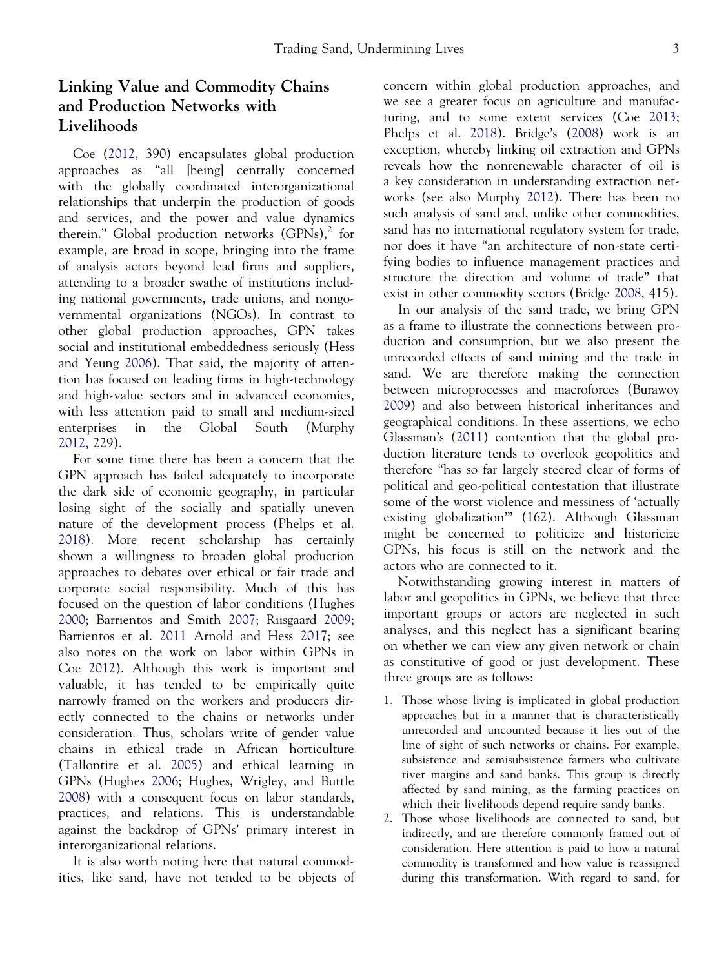# Linking Value and Commodity Chains and Production Networks with Livelihoods

Coe ([2012,](#page-16-0) 390) encapsulates global production approaches as "all [being] centrally concerned with the globally coordinated interorganizational relationships that underpin the production of goods and services, and the power and value dynamics therein." Global production networks  $(GPNs)$ , for example, are broad in scope, bringing into the frame of analysis actors beyond lead firms and suppliers, attending to a broader swathe of institutions including national governments, trade unions, and nongovernmental organizations (NGOs). In contrast to other global production approaches, GPN takes social and institutional embeddedness seriously (Hess and Yeung [2006](#page-17-0)). That said, the majority of attention has focused on leading firms in high-technology and high-value sectors and in advanced economies, with less attention paid to small and medium-sized enterprises in the Global South (Murphy [2012,](#page-17-0) 229).

For some time there has been a concern that the GPN approach has failed adequately to incorporate the dark side of economic geography, in particular losing sight of the socially and spatially uneven nature of the development process (Phelps et al. [2018\)](#page-18-0). More recent scholarship has certainly shown a willingness to broaden global production approaches to debates over ethical or fair trade and corporate social responsibility. Much of this has focused on the question of labor conditions (Hughes [2000;](#page-17-0) Barrientos and Smith [2007](#page-16-0); Riisgaard [2009](#page-18-0); Barrientos et al. [2011](#page-16-0) Arnold and Hess [2017;](#page-16-0) see also notes on the work on labor within GPNs in Coe [2012\)](#page-16-0). Although this work is important and valuable, it has tended to be empirically quite narrowly framed on the workers and producers directly connected to the chains or networks under consideration. Thus, scholars write of gender value chains in ethical trade in African horticulture (Tallontire et al. [2005\)](#page-18-0) and ethical learning in GPNs (Hughes [2006;](#page-17-0) Hughes, Wrigley, and Buttle [2008\)](#page-17-0) with a consequent focus on labor standards, practices, and relations. This is understandable against the backdrop of GPNs' primary interest in interorganizational relations.

It is also worth noting here that natural commodities, like sand, have not tended to be objects of concern within global production approaches, and we see a greater focus on agriculture and manufacturing, and to some extent services (Coe [2013](#page-16-0); Phelps et al. [2018\)](#page-18-0). Bridge's ([2008\)](#page-16-0) work is an exception, whereby linking oil extraction and GPNs reveals how the nonrenewable character of oil is a key consideration in understanding extraction networks (see also Murphy [2012](#page-17-0)). There has been no such analysis of sand and, unlike other commodities, sand has no international regulatory system for trade, nor does it have "an architecture of non-state certifying bodies to influence management practices and structure the direction and volume of trade" that exist in other commodity sectors (Bridge [2008,](#page-16-0) 415).

In our analysis of the sand trade, we bring GPN as a frame to illustrate the connections between production and consumption, but we also present the unrecorded effects of sand mining and the trade in sand. We are therefore making the connection between microprocesses and macroforces (Burawoy [2009\)](#page-16-0) and also between historical inheritances and geographical conditions. In these assertions, we echo Glassman's [\(2011](#page-17-0)) contention that the global production literature tends to overlook geopolitics and therefore "has so far largely steered clear of forms of political and geo-political contestation that illustrate some of the worst violence and messiness of 'actually existing globalization'" (162). Although Glassman might be concerned to politicize and historicize GPNs, his focus is still on the network and the actors who are connected to it.

Notwithstanding growing interest in matters of labor and geopolitics in GPNs, we believe that three important groups or actors are neglected in such analyses, and this neglect has a significant bearing on whether we can view any given network or chain as constitutive of good or just development. These three groups are as follows:

- 1. Those whose living is implicated in global production approaches but in a manner that is characteristically unrecorded and uncounted because it lies out of the line of sight of such networks or chains. For example, subsistence and semisubsistence farmers who cultivate river margins and sand banks. This group is directly affected by sand mining, as the farming practices on which their livelihoods depend require sandy banks.
- 2. Those whose livelihoods are connected to sand, but indirectly, and are therefore commonly framed out of consideration. Here attention is paid to how a natural commodity is transformed and how value is reassigned during this transformation. With regard to sand, for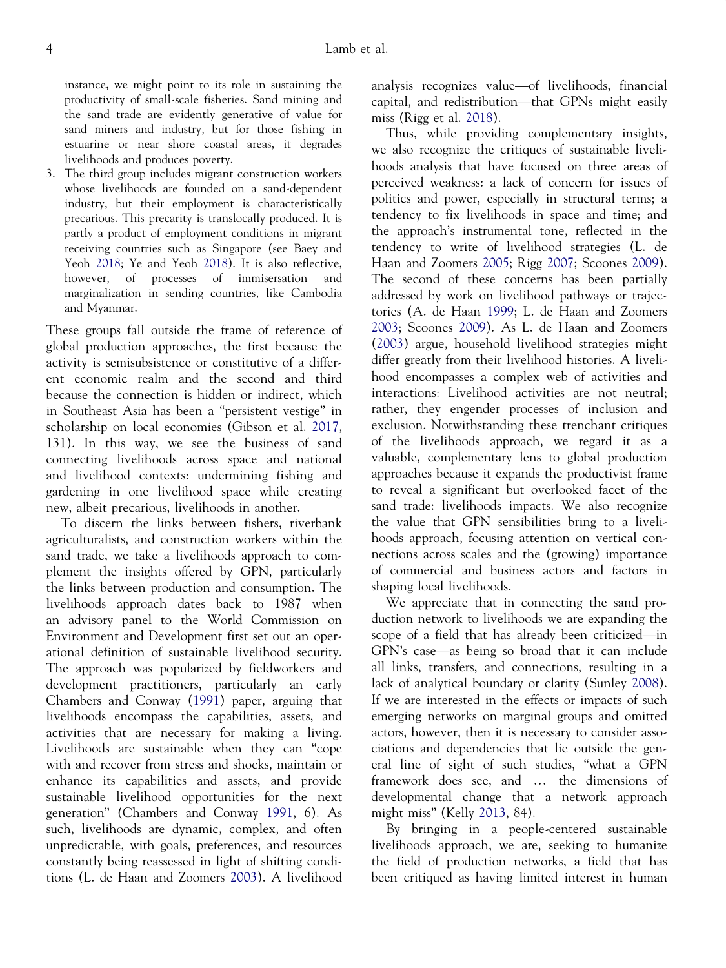instance, we might point to its role in sustaining the productivity of small-scale fisheries. Sand mining and the sand trade are evidently generative of value for sand miners and industry, but for those fishing in estuarine or near shore coastal areas, it degrades livelihoods and produces poverty.

3. The third group includes migrant construction workers whose livelihoods are founded on a sand-dependent industry, but their employment is characteristically precarious. This precarity is translocally produced. It is partly a product of employment conditions in migrant receiving countries such as Singapore (see Baey and Yeoh [2018;](#page-16-0) Ye and Yeoh [2018](#page-18-0)). It is also reflective, however, of processes of immisersation and marginalization in sending countries, like Cambodia and Myanmar.

These groups fall outside the frame of reference of global production approaches, the first because the activity is semisubsistence or constitutive of a different economic realm and the second and third because the connection is hidden or indirect, which in Southeast Asia has been a "persistent vestige" in scholarship on local economies (Gibson et al. [2017](#page-17-0), 131). In this way, we see the business of sand connecting livelihoods across space and national and livelihood contexts: undermining fishing and gardening in one livelihood space while creating new, albeit precarious, livelihoods in another.

To discern the links between fishers, riverbank agriculturalists, and construction workers within the sand trade, we take a livelihoods approach to complement the insights offered by GPN, particularly the links between production and consumption. The livelihoods approach dates back to 1987 when an advisory panel to the World Commission on Environment and Development first set out an operational definition of sustainable livelihood security. The approach was popularized by fieldworkers and development practitioners, particularly an early Chambers and Conway ([1991\)](#page-16-0) paper, arguing that livelihoods encompass the capabilities, assets, and activities that are necessary for making a living. Livelihoods are sustainable when they can "cope with and recover from stress and shocks, maintain or enhance its capabilities and assets, and provide sustainable livelihood opportunities for the next generation" (Chambers and Conway [1991,](#page-16-0) 6). As such, livelihoods are dynamic, complex, and often unpredictable, with goals, preferences, and resources constantly being reassessed in light of shifting conditions (L. de Haan and Zoomers [2003](#page-16-0)). A livelihood analysis recognizes value—of livelihoods, financial capital, and redistribution—that GPNs might easily miss (Rigg et al. [2018](#page-18-0)).

Thus, while providing complementary insights, we also recognize the critiques of sustainable livelihoods analysis that have focused on three areas of perceived weakness: a lack of concern for issues of politics and power, especially in structural terms; a tendency to fix livelihoods in space and time; and the approach's instrumental tone, reflected in the tendency to write of livelihood strategies (L. de Haan and Zoomers [2005;](#page-16-0) Rigg [2007;](#page-18-0) Scoones [2009\)](#page-18-0). The second of these concerns has been partially addressed by work on livelihood pathways or trajectories (A. de Haan [1999](#page-16-0); L. de Haan and Zoomers [2003;](#page-16-0) Scoones [2009\)](#page-18-0). As L. de Haan and Zoomers [\(2003](#page-16-0)) argue, household livelihood strategies might differ greatly from their livelihood histories. A livelihood encompasses a complex web of activities and interactions: Livelihood activities are not neutral; rather, they engender processes of inclusion and exclusion. Notwithstanding these trenchant critiques of the livelihoods approach, we regard it as a valuable, complementary lens to global production approaches because it expands the productivist frame to reveal a significant but overlooked facet of the sand trade: livelihoods impacts. We also recognize the value that GPN sensibilities bring to a livelihoods approach, focusing attention on vertical connections across scales and the (growing) importance of commercial and business actors and factors in shaping local livelihoods.

We appreciate that in connecting the sand production network to livelihoods we are expanding the scope of a field that has already been criticized—in GPN's case—as being so broad that it can include all links, transfers, and connections, resulting in a lack of analytical boundary or clarity (Sunley [2008\)](#page-18-0). If we are interested in the effects or impacts of such emerging networks on marginal groups and omitted actors, however, then it is necessary to consider associations and dependencies that lie outside the general line of sight of such studies, "what a GPN framework does see, and … the dimensions of developmental change that a network approach might miss" (Kelly [2013,](#page-17-0) 84).

By bringing in a people-centered sustainable livelihoods approach, we are, seeking to humanize the field of production networks, a field that has been critiqued as having limited interest in human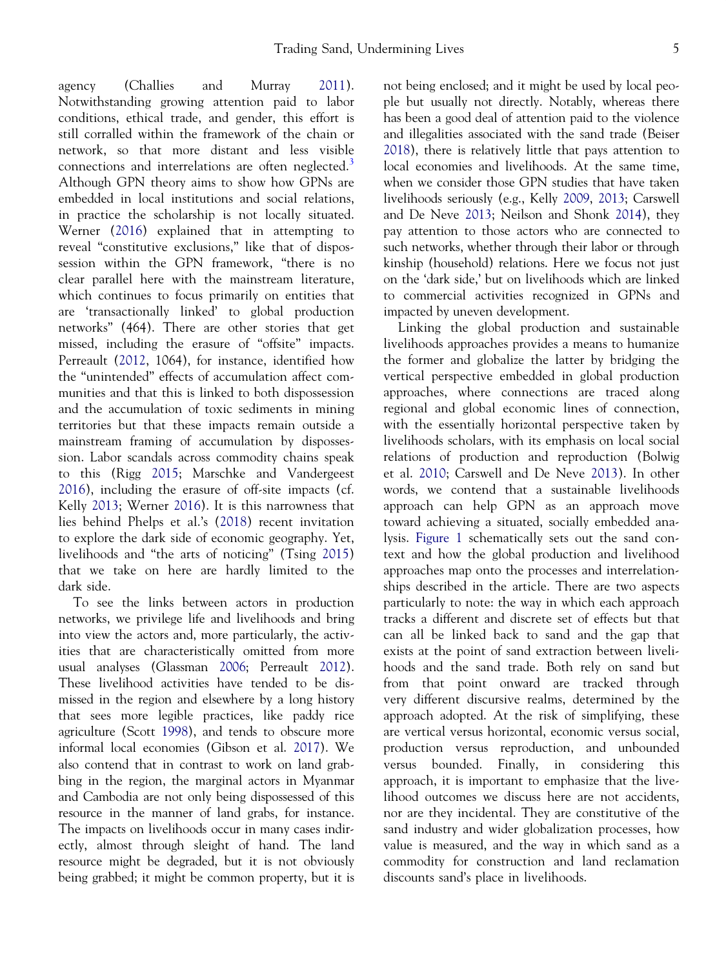agency (Challies and Murray [2011\)](#page-16-0). Notwithstanding growing attention paid to labor conditions, ethical trade, and gender, this effort is still corralled within the framework of the chain or network, so that more distant and less visible connections and interrelations are often neglected.<sup>[3](#page-15-0)</sup> Although GPN theory aims to show how GPNs are embedded in local institutions and social relations, in practice the scholarship is not locally situated. Werner [\(2016](#page-18-0)) explained that in attempting to reveal "constitutive exclusions," like that of dispossession within the GPN framework, "there is no clear parallel here with the mainstream literature, which continues to focus primarily on entities that are 'transactionally linked' to global production networks" (464). There are other stories that get missed, including the erasure of "offsite" impacts. Perreault [\(2012](#page-18-0), 1064), for instance, identified how the "unintended" effects of accumulation affect communities and that this is linked to both dispossession and the accumulation of toxic sediments in mining territories but that these impacts remain outside a mainstream framing of accumulation by dispossession. Labor scandals across commodity chains speak to this (Rigg [2015](#page-18-0); Marschke and Vandergeest [2016\)](#page-17-0), including the erasure of off-site impacts (cf. Kelly [2013](#page-17-0); Werner [2016](#page-18-0)). It is this narrowness that lies behind Phelps et al.'s ([2018\)](#page-18-0) recent invitation to explore the dark side of economic geography. Yet, livelihoods and "the arts of noticing" (Tsing [2015\)](#page-18-0) that we take on here are hardly limited to the dark side.

To see the links between actors in production networks, we privilege life and livelihoods and bring into view the actors and, more particularly, the activities that are characteristically omitted from more usual analyses (Glassman [2006](#page-17-0); Perreault [2012](#page-18-0)). These livelihood activities have tended to be dismissed in the region and elsewhere by a long history that sees more legible practices, like paddy rice agriculture (Scott [1998\)](#page-18-0), and tends to obscure more informal local economies (Gibson et al. [2017\)](#page-17-0). We also contend that in contrast to work on land grabbing in the region, the marginal actors in Myanmar and Cambodia are not only being dispossessed of this resource in the manner of land grabs, for instance. The impacts on livelihoods occur in many cases indirectly, almost through sleight of hand. The land resource might be degraded, but it is not obviously being grabbed; it might be common property, but it is not being enclosed; and it might be used by local people but usually not directly. Notably, whereas there has been a good deal of attention paid to the violence and illegalities associated with the sand trade (Beiser [2018](#page-16-0)), there is relatively little that pays attention to local economies and livelihoods. At the same time, when we consider those GPN studies that have taken livelihoods seriously (e.g., Kelly [2009](#page-17-0), [2013](#page-17-0); Carswell and De Neve [2013](#page-16-0); Neilson and Shonk [2014](#page-18-0)), they pay attention to those actors who are connected to such networks, whether through their labor or through kinship (household) relations. Here we focus not just on the 'dark side,' but on livelihoods which are linked to commercial activities recognized in GPNs and impacted by uneven development.

Linking the global production and sustainable livelihoods approaches provides a means to humanize the former and globalize the latter by bridging the vertical perspective embedded in global production approaches, where connections are traced along regional and global economic lines of connection, with the essentially horizontal perspective taken by livelihoods scholars, with its emphasis on local social relations of production and reproduction (Bolwig et al. [2010;](#page-16-0) Carswell and De Neve [2013\)](#page-16-0). In other words, we contend that a sustainable livelihoods approach can help GPN as an approach move toward achieving a situated, socially embedded analysis. [Figure 1](#page-6-0) schematically sets out the sand context and how the global production and livelihood approaches map onto the processes and interrelationships described in the article. There are two aspects particularly to note: the way in which each approach tracks a different and discrete set of effects but that can all be linked back to sand and the gap that exists at the point of sand extraction between livelihoods and the sand trade. Both rely on sand but from that point onward are tracked through very different discursive realms, determined by the approach adopted. At the risk of simplifying, these are vertical versus horizontal, economic versus social, production versus reproduction, and unbounded versus bounded. Finally, in considering this approach, it is important to emphasize that the livelihood outcomes we discuss here are not accidents, nor are they incidental. They are constitutive of the sand industry and wider globalization processes, how value is measured, and the way in which sand as a commodity for construction and land reclamation discounts sand's place in livelihoods.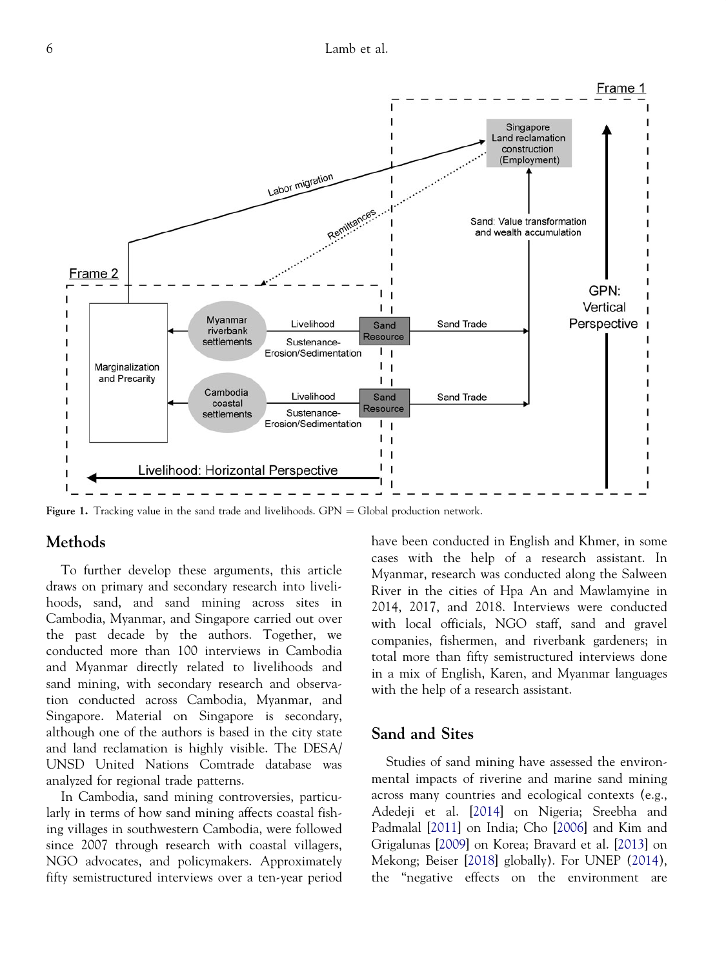<span id="page-6-0"></span>

Figure 1. Tracking value in the sand trade and livelihoods.  $GPN = Global$  production network.

#### Methods

To further develop these arguments, this article draws on primary and secondary research into livelihoods, sand, and sand mining across sites in Cambodia, Myanmar, and Singapore carried out over the past decade by the authors. Together, we conducted more than 100 interviews in Cambodia and Myanmar directly related to livelihoods and sand mining, with secondary research and observation conducted across Cambodia, Myanmar, and Singapore. Material on Singapore is secondary, although one of the authors is based in the city state and land reclamation is highly visible. The DESA/ UNSD United Nations Comtrade database was analyzed for regional trade patterns.

In Cambodia, sand mining controversies, particularly in terms of how sand mining affects coastal fishing villages in southwestern Cambodia, were followed since 2007 through research with coastal villagers, NGO advocates, and policymakers. Approximately fifty semistructured interviews over a ten-year period have been conducted in English and Khmer, in some cases with the help of a research assistant. In Myanmar, research was conducted along the Salween River in the cities of Hpa An and Mawlamyine in 2014, 2017, and 2018. Interviews were conducted with local officials, NGO staff, sand and gravel companies, fishermen, and riverbank gardeners; in total more than fifty semistructured interviews done in a mix of English, Karen, and Myanmar languages with the help of a research assistant.

## Sand and Sites

Studies of sand mining have assessed the environmental impacts of riverine and marine sand mining across many countries and ecological contexts (e.g., Adedeji et al. [\[2014](#page-16-0)] on Nigeria; Sreebha and Padmalal [\[2011](#page-18-0)] on India; Cho [[2006\]](#page-16-0) and Kim and Grigalunas [\[2009](#page-17-0)] on Korea; Bravard et al. [\[2013](#page-16-0)] on Mekong; Beiser [[2018\]](#page-16-0) globally). For UNEP [\(2014\)](#page-18-0), the "negative effects on the environment are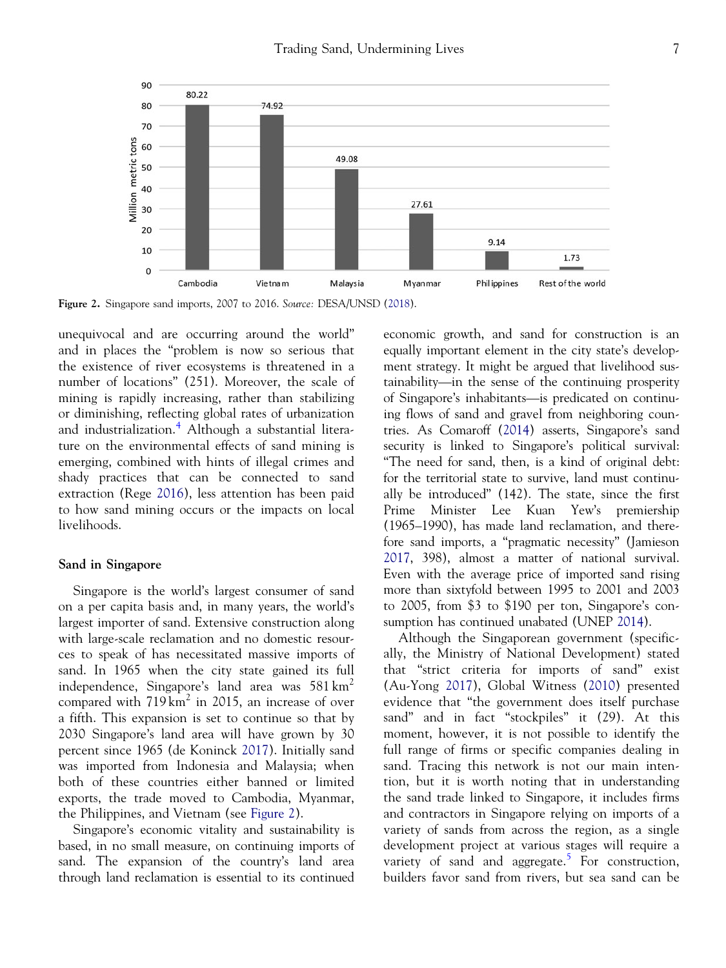<span id="page-7-0"></span>

Figure 2. Singapore sand imports, 2007 to 2016. Source: DESA/UNSD [\(2018](#page-16-0)).

unequivocal and are occurring around the world" and in places the "problem is now so serious that the existence of river ecosystems is threatened in a number of locations" (251). Moreover, the scale of mining is rapidly increasing, rather than stabilizing or diminishing, reflecting global rates of urbanization and industrialization.<sup>[4](#page-15-0)</sup> Although a substantial literature on the environmental effects of sand mining is emerging, combined with hints of illegal crimes and shady practices that can be connected to sand extraction (Rege [2016](#page-18-0)), less attention has been paid to how sand mining occurs or the impacts on local livelihoods.

#### Sand in Singapore

Singapore is the world's largest consumer of sand on a per capita basis and, in many years, the world's largest importer of sand. Extensive construction along with large-scale reclamation and no domestic resources to speak of has necessitated massive imports of sand. In 1965 when the city state gained its full independence, Singapore's land area was  $581 \text{ km}^2$ compared with  $719 \text{ km}^2$  in 2015, an increase of over a fifth. This expansion is set to continue so that by 2030 Singapore's land area will have grown by 30 percent since 1965 (de Koninck [2017\)](#page-16-0). Initially sand was imported from Indonesia and Malaysia; when both of these countries either banned or limited exports, the trade moved to Cambodia, Myanmar, the Philippines, and Vietnam (see Figure 2).

Singapore's economic vitality and sustainability is based, in no small measure, on continuing imports of sand. The expansion of the country's land area through land reclamation is essential to its continued

economic growth, and sand for construction is an equally important element in the city state's development strategy. It might be argued that livelihood sustainability—in the sense of the continuing prosperity of Singapore's inhabitants—is predicated on continuing flows of sand and gravel from neighboring countries. As Comaroff ([2014](#page-16-0)) asserts, Singapore's sand security is linked to Singapore's political survival: "The need for sand, then, is a kind of original debt: for the territorial state to survive, land must continually be introduced" (142). The state, since the first Prime Minister Lee Kuan Yew's premiership (1965–1990), has made land reclamation, and therefore sand imports, a "pragmatic necessity" (Jamieson [2017](#page-17-0), 398), almost a matter of national survival. Even with the average price of imported sand rising more than sixtyfold between 1995 to 2001 and 2003 to 2005, from \$3 to \$190 per ton, Singapore's consumption has continued unabated (UNEP [2014\)](#page-18-0).

Although the Singaporean government (specifically, the Ministry of National Development) stated that "strict criteria for imports of sand" exist (Au-Yong [2017\)](#page-16-0), Global Witness [\(2010](#page-17-0)) presented evidence that "the government does itself purchase sand" and in fact "stockpiles" it (29). At this moment, however, it is not possible to identify the full range of firms or specific companies dealing in sand. Tracing this network is not our main intention, but it is worth noting that in understanding the sand trade linked to Singapore, it includes firms and contractors in Singapore relying on imports of a variety of sands from across the region, as a single development project at various stages will require a variety of sand and aggregate.<sup>[5](#page-15-0)</sup> For construction, builders favor sand from rivers, but sea sand can be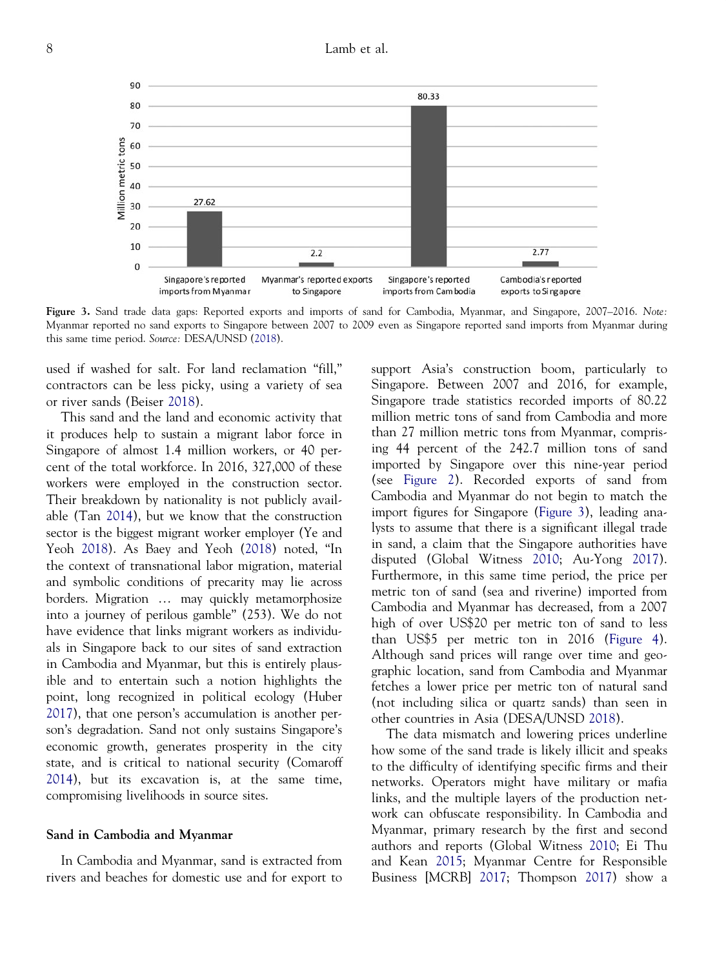8 Lamb et al.



Figure 3. Sand trade data gaps: Reported exports and imports of sand for Cambodia, Myanmar, and Singapore, 2007–2016. Note: Myanmar reported no sand exports to Singapore between 2007 to 2009 even as Singapore reported sand imports from Myanmar during this same time period. Source: DESA/UNSD [\(2018](#page-16-0)).

used if washed for salt. For land reclamation "fill," contractors can be less picky, using a variety of sea or river sands (Beiser [2018](#page-16-0)).

This sand and the land and economic activity that it produces help to sustain a migrant labor force in Singapore of almost 1.4 million workers, or 40 percent of the total workforce. In 2016, 327,000 of these workers were employed in the construction sector. Their breakdown by nationality is not publicly available (Tan [2014\)](#page-18-0), but we know that the construction sector is the biggest migrant worker employer (Ye and Yeoh [2018](#page-18-0)). As Baey and Yeoh ([2018](#page-16-0)) noted, "In the context of transnational labor migration, material and symbolic conditions of precarity may lie across borders. Migration … may quickly metamorphosize into a journey of perilous gamble" (253). We do not have evidence that links migrant workers as individuals in Singapore back to our sites of sand extraction in Cambodia and Myanmar, but this is entirely plausible and to entertain such a notion highlights the point, long recognized in political ecology (Huber [2017](#page-17-0)), that one person's accumulation is another person's degradation. Sand not only sustains Singapore's economic growth, generates prosperity in the city state, and is critical to national security (Comaroff [2014](#page-16-0)), but its excavation is, at the same time, compromising livelihoods in source sites.

#### Sand in Cambodia and Myanmar

In Cambodia and Myanmar, sand is extracted from rivers and beaches for domestic use and for export to support Asia's construction boom, particularly to Singapore. Between 2007 and 2016, for example, Singapore trade statistics recorded imports of 80.22 million metric tons of sand from Cambodia and more than 27 million metric tons from Myanmar, comprising 44 percent of the 242.7 million tons of sand imported by Singapore over this nine-year period (see [Figure 2\)](#page-7-0). Recorded exports of sand from Cambodia and Myanmar do not begin to match the import figures for Singapore (Figure 3), leading analysts to assume that there is a significant illegal trade in sand, a claim that the Singapore authorities have disputed (Global Witness [2010](#page-17-0); Au-Yong [2017](#page-16-0)). Furthermore, in this same time period, the price per metric ton of sand (sea and riverine) imported from Cambodia and Myanmar has decreased, from a 2007 high of over US\$20 per metric ton of sand to less than US\$5 per metric ton in 2016 [\(Figure 4](#page-9-0)). Although sand prices will range over time and geographic location, sand from Cambodia and Myanmar fetches a lower price per metric ton of natural sand (not including silica or quartz sands) than seen in other countries in Asia (DESA/UNSD [2018\)](#page-16-0).

The data mismatch and lowering prices underline how some of the sand trade is likely illicit and speaks to the difficulty of identifying specific firms and their networks. Operators might have military or mafia links, and the multiple layers of the production network can obfuscate responsibility. In Cambodia and Myanmar, primary research by the first and second authors and reports (Global Witness [2010](#page-17-0); Ei Thu and Kean [2015](#page-16-0); Myanmar Centre for Responsible Business [MCRB] [2017](#page-17-0); Thompson [2017\)](#page-18-0) show a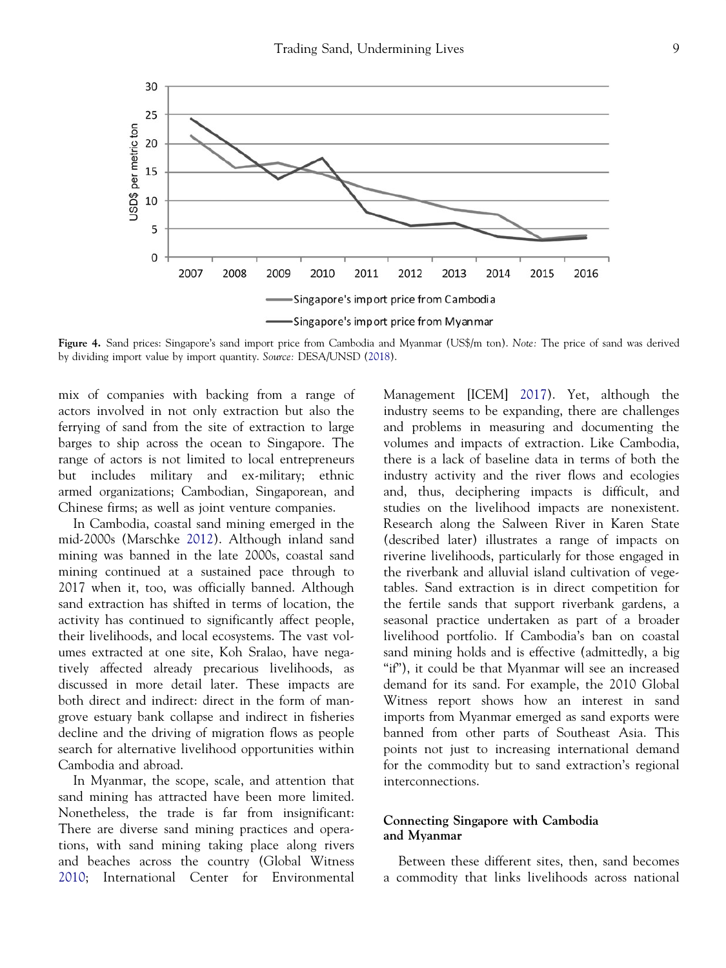<span id="page-9-0"></span>

Figure 4. Sand prices: Singapore's sand import price from Cambodia and Myanmar (US\$/m ton). Note: The price of sand was derived by dividing import value by import quantity. Source: DESA/UNSD [\(2018](#page-16-0)).

mix of companies with backing from a range of actors involved in not only extraction but also the ferrying of sand from the site of extraction to large barges to ship across the ocean to Singapore. The range of actors is not limited to local entrepreneurs but includes military and ex-military; ethnic armed organizations; Cambodian, Singaporean, and Chinese firms; as well as joint venture companies.

In Cambodia, coastal sand mining emerged in the mid-2000s (Marschke [2012\)](#page-17-0). Although inland sand mining was banned in the late 2000s, coastal sand mining continued at a sustained pace through to 2017 when it, too, was officially banned. Although sand extraction has shifted in terms of location, the activity has continued to significantly affect people, their livelihoods, and local ecosystems. The vast volumes extracted at one site, Koh Sralao, have negatively affected already precarious livelihoods, as discussed in more detail later. These impacts are both direct and indirect: direct in the form of mangrove estuary bank collapse and indirect in fisheries decline and the driving of migration flows as people search for alternative livelihood opportunities within Cambodia and abroad.

In Myanmar, the scope, scale, and attention that sand mining has attracted have been more limited. Nonetheless, the trade is far from insignificant: There are diverse sand mining practices and operations, with sand mining taking place along rivers and beaches across the country (Global Witness [2010;](#page-17-0) International Center for Environmental

Management [ICEM] [2017](#page-17-0)). Yet, although the industry seems to be expanding, there are challenges and problems in measuring and documenting the volumes and impacts of extraction. Like Cambodia, there is a lack of baseline data in terms of both the industry activity and the river flows and ecologies and, thus, deciphering impacts is difficult, and studies on the livelihood impacts are nonexistent. Research along the Salween River in Karen State (described later) illustrates a range of impacts on riverine livelihoods, particularly for those engaged in the riverbank and alluvial island cultivation of vegetables. Sand extraction is in direct competition for the fertile sands that support riverbank gardens, a seasonal practice undertaken as part of a broader livelihood portfolio. If Cambodia's ban on coastal sand mining holds and is effective (admittedly, a big "if"), it could be that Myanmar will see an increased demand for its sand. For example, the 2010 Global Witness report shows how an interest in sand imports from Myanmar emerged as sand exports were banned from other parts of Southeast Asia. This points not just to increasing international demand for the commodity but to sand extraction's regional interconnections.

#### Connecting Singapore with Cambodia and Myanmar

Between these different sites, then, sand becomes a commodity that links livelihoods across national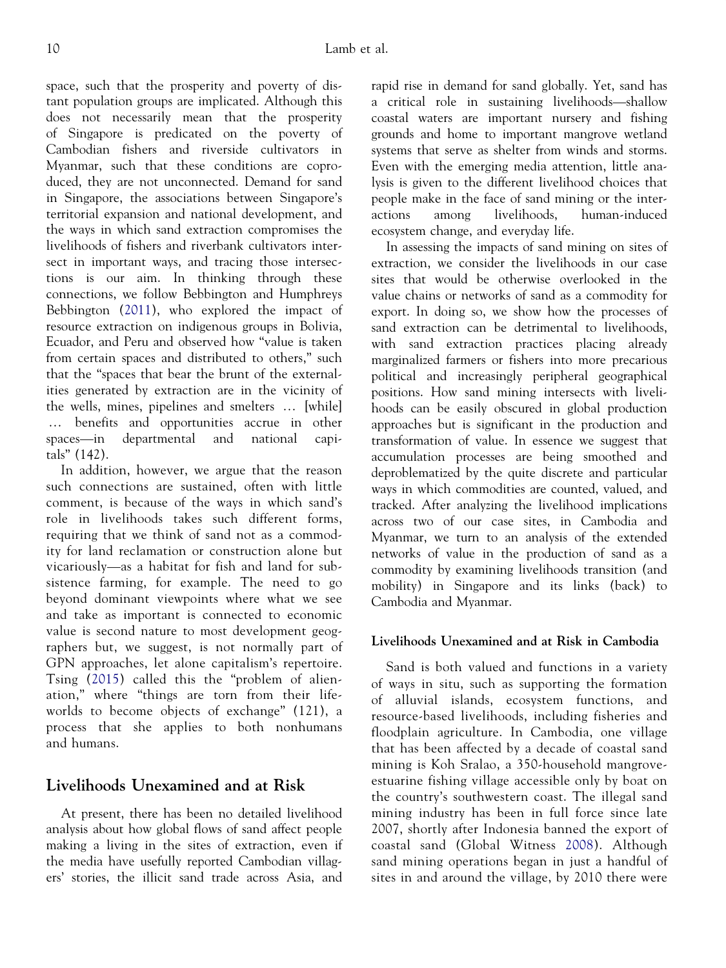space, such that the prosperity and poverty of distant population groups are implicated. Although this does not necessarily mean that the prosperity of Singapore is predicated on the poverty of Cambodian fishers and riverside cultivators in Myanmar, such that these conditions are coproduced, they are not unconnected. Demand for sand in Singapore, the associations between Singapore's territorial expansion and national development, and the ways in which sand extraction compromises the livelihoods of fishers and riverbank cultivators intersect in important ways, and tracing those intersections is our aim. In thinking through these connections, we follow Bebbington and Humphreys Bebbington ([2011\)](#page-16-0), who explored the impact of resource extraction on indigenous groups in Bolivia, Ecuador, and Peru and observed how "value is taken from certain spaces and distributed to others," such that the "spaces that bear the brunt of the externalities generated by extraction are in the vicinity of the wells, mines, pipelines and smelters … [while] … benefits and opportunities accrue in other spaces—in departmental and national capitals" (142).

In addition, however, we argue that the reason such connections are sustained, often with little comment, is because of the ways in which sand's role in livelihoods takes such different forms, requiring that we think of sand not as a commodity for land reclamation or construction alone but vicariously—as a habitat for fish and land for subsistence farming, for example. The need to go beyond dominant viewpoints where what we see and take as important is connected to economic value is second nature to most development geographers but, we suggest, is not normally part of GPN approaches, let alone capitalism's repertoire. Tsing ([2015\)](#page-18-0) called this the "problem of alienation," where "things are torn from their lifeworlds to become objects of exchange" (121), a process that she applies to both nonhumans and humans.

# Livelihoods Unexamined and at Risk

At present, there has been no detailed livelihood analysis about how global flows of sand affect people making a living in the sites of extraction, even if the media have usefully reported Cambodian villagers' stories, the illicit sand trade across Asia, and rapid rise in demand for sand globally. Yet, sand has a critical role in sustaining livelihoods—shallow coastal waters are important nursery and fishing grounds and home to important mangrove wetland systems that serve as shelter from winds and storms. Even with the emerging media attention, little analysis is given to the different livelihood choices that people make in the face of sand mining or the interactions among livelihoods, human-induced ecosystem change, and everyday life.

In assessing the impacts of sand mining on sites of extraction, we consider the livelihoods in our case sites that would be otherwise overlooked in the value chains or networks of sand as a commodity for export. In doing so, we show how the processes of sand extraction can be detrimental to livelihoods, with sand extraction practices placing already marginalized farmers or fishers into more precarious political and increasingly peripheral geographical positions. How sand mining intersects with livelihoods can be easily obscured in global production approaches but is significant in the production and transformation of value. In essence we suggest that accumulation processes are being smoothed and deproblematized by the quite discrete and particular ways in which commodities are counted, valued, and tracked. After analyzing the livelihood implications across two of our case sites, in Cambodia and Myanmar, we turn to an analysis of the extended networks of value in the production of sand as a commodity by examining livelihoods transition (and mobility) in Singapore and its links (back) to Cambodia and Myanmar.

#### Livelihoods Unexamined and at Risk in Cambodia

Sand is both valued and functions in a variety of ways in situ, such as supporting the formation of alluvial islands, ecosystem functions, and resource-based livelihoods, including fisheries and floodplain agriculture. In Cambodia, one village that has been affected by a decade of coastal sand mining is Koh Sralao, a 350-household mangroveestuarine fishing village accessible only by boat on the country's southwestern coast. The illegal sand mining industry has been in full force since late 2007, shortly after Indonesia banned the export of coastal sand (Global Witness [2008\)](#page-17-0). Although sand mining operations began in just a handful of sites in and around the village, by 2010 there were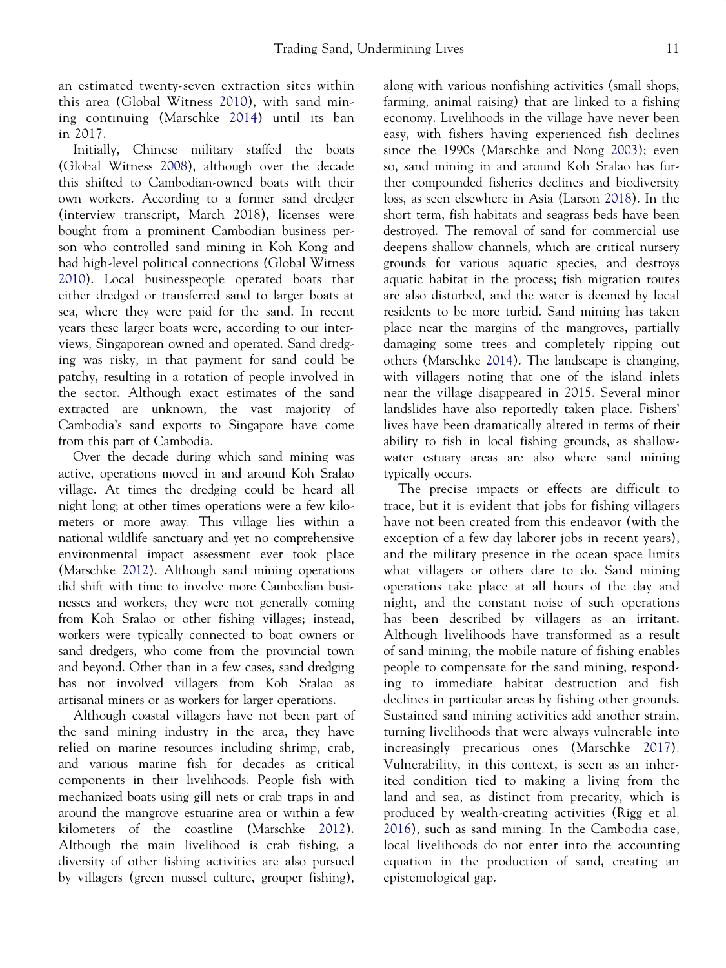an estimated twenty-seven extraction sites within this area (Global Witness [2010\)](#page-17-0), with sand mining continuing (Marschke [2014\)](#page-17-0) until its ban in 2017.

Initially, Chinese military staffed the boats (Global Witness [2008](#page-17-0)), although over the decade this shifted to Cambodian-owned boats with their own workers. According to a former sand dredger (interview transcript, March 2018), licenses were bought from a prominent Cambodian business person who controlled sand mining in Koh Kong and had high-level political connections (Global Witness [2010\)](#page-17-0). Local businesspeople operated boats that either dredged or transferred sand to larger boats at sea, where they were paid for the sand. In recent years these larger boats were, according to our interviews, Singaporean owned and operated. Sand dredging was risky, in that payment for sand could be patchy, resulting in a rotation of people involved in the sector. Although exact estimates of the sand extracted are unknown, the vast majority of Cambodia's sand exports to Singapore have come from this part of Cambodia.

Over the decade during which sand mining was active, operations moved in and around Koh Sralao village. At times the dredging could be heard all night long; at other times operations were a few kilometers or more away. This village lies within a national wildlife sanctuary and yet no comprehensive environmental impact assessment ever took place (Marschke [2012\)](#page-17-0). Although sand mining operations did shift with time to involve more Cambodian businesses and workers, they were not generally coming from Koh Sralao or other fishing villages; instead, workers were typically connected to boat owners or sand dredgers, who come from the provincial town and beyond. Other than in a few cases, sand dredging has not involved villagers from Koh Sralao as artisanal miners or as workers for larger operations.

Although coastal villagers have not been part of the sand mining industry in the area, they have relied on marine resources including shrimp, crab, and various marine fish for decades as critical components in their livelihoods. People fish with mechanized boats using gill nets or crab traps in and around the mangrove estuarine area or within a few kilometers of the coastline (Marschke [2012\)](#page-17-0). Although the main livelihood is crab fishing, a diversity of other fishing activities are also pursued by villagers (green mussel culture, grouper fishing),

along with various nonfishing activities (small shops, farming, animal raising) that are linked to a fishing economy. Livelihoods in the village have never been easy, with fishers having experienced fish declines since the 1990s (Marschke and Nong [2003\)](#page-17-0); even so, sand mining in and around Koh Sralao has further compounded fisheries declines and biodiversity loss, as seen elsewhere in Asia (Larson [2018\)](#page-17-0). In the short term, fish habitats and seagrass beds have been destroyed. The removal of sand for commercial use deepens shallow channels, which are critical nursery grounds for various aquatic species, and destroys aquatic habitat in the process; fish migration routes are also disturbed, and the water is deemed by local residents to be more turbid. Sand mining has taken place near the margins of the mangroves, partially damaging some trees and completely ripping out others (Marschke [2014\)](#page-17-0). The landscape is changing, with villagers noting that one of the island inlets near the village disappeared in 2015. Several minor landslides have also reportedly taken place. Fishers' lives have been dramatically altered in terms of their ability to fish in local fishing grounds, as shallowwater estuary areas are also where sand mining typically occurs.

The precise impacts or effects are difficult to trace, but it is evident that jobs for fishing villagers have not been created from this endeavor (with the exception of a few day laborer jobs in recent years), and the military presence in the ocean space limits what villagers or others dare to do. Sand mining operations take place at all hours of the day and night, and the constant noise of such operations has been described by villagers as an irritant. Although livelihoods have transformed as a result of sand mining, the mobile nature of fishing enables people to compensate for the sand mining, responding to immediate habitat destruction and fish declines in particular areas by fishing other grounds. Sustained sand mining activities add another strain, turning livelihoods that were always vulnerable into increasingly precarious ones (Marschke [2017\)](#page-17-0). Vulnerability, in this context, is seen as an inherited condition tied to making a living from the land and sea, as distinct from precarity, which is produced by wealth-creating activities (Rigg et al. [2016](#page-18-0)), such as sand mining. In the Cambodia case, local livelihoods do not enter into the accounting equation in the production of sand, creating an epistemological gap.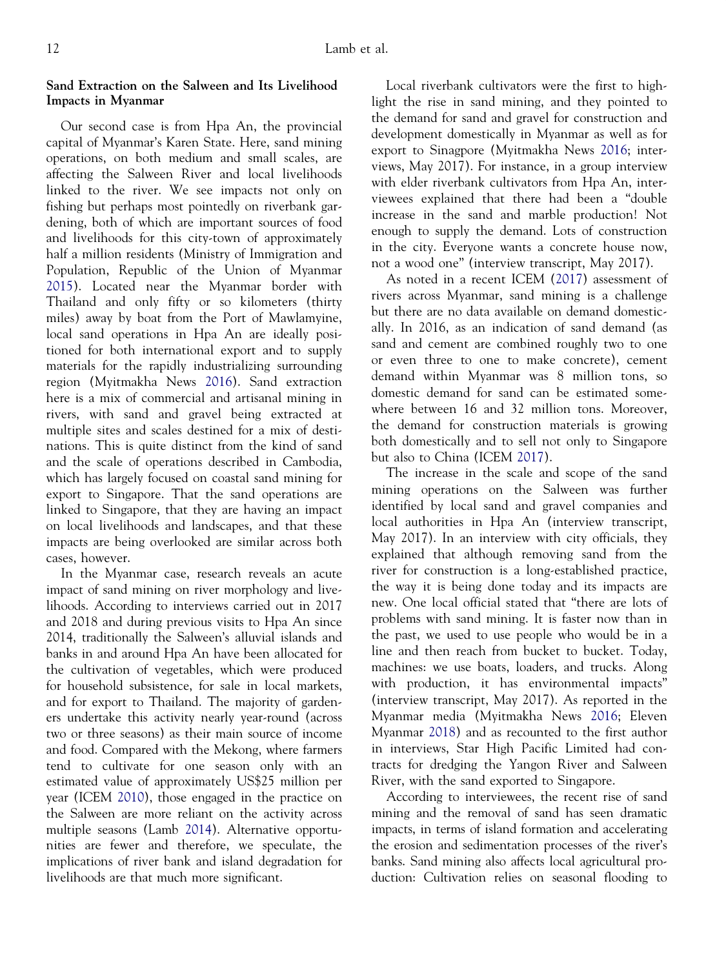#### Sand Extraction on the Salween and Its Livelihood Impacts in Myanmar

Our second case is from Hpa An, the provincial capital of Myanmar's Karen State. Here, sand mining operations, on both medium and small scales, are affecting the Salween River and local livelihoods linked to the river. We see impacts not only on fishing but perhaps most pointedly on riverbank gardening, both of which are important sources of food and livelihoods for this city-town of approximately half a million residents (Ministry of Immigration and Population, Republic of the Union of Myanmar [2015\)](#page-17-0). Located near the Myanmar border with Thailand and only fifty or so kilometers (thirty miles) away by boat from the Port of Mawlamyine, local sand operations in Hpa An are ideally positioned for both international export and to supply materials for the rapidly industrializing surrounding region (Myitmakha News [2016\)](#page-17-0). Sand extraction here is a mix of commercial and artisanal mining in rivers, with sand and gravel being extracted at multiple sites and scales destined for a mix of destinations. This is quite distinct from the kind of sand and the scale of operations described in Cambodia, which has largely focused on coastal sand mining for export to Singapore. That the sand operations are linked to Singapore, that they are having an impact on local livelihoods and landscapes, and that these impacts are being overlooked are similar across both cases, however.

In the Myanmar case, research reveals an acute impact of sand mining on river morphology and livelihoods. According to interviews carried out in 2017 and 2018 and during previous visits to Hpa An since 2014, traditionally the Salween's alluvial islands and banks in and around Hpa An have been allocated for the cultivation of vegetables, which were produced for household subsistence, for sale in local markets, and for export to Thailand. The majority of gardeners undertake this activity nearly year-round (across two or three seasons) as their main source of income and food. Compared with the Mekong, where farmers tend to cultivate for one season only with an estimated value of approximately US\$25 million per year (ICEM [2010\)](#page-17-0), those engaged in the practice on the Salween are more reliant on the activity across multiple seasons (Lamb [2014](#page-17-0)). Alternative opportunities are fewer and therefore, we speculate, the implications of river bank and island degradation for livelihoods are that much more significant.

Local riverbank cultivators were the first to highlight the rise in sand mining, and they pointed to the demand for sand and gravel for construction and development domestically in Myanmar as well as for export to Sinagpore (Myitmakha News [2016](#page-17-0); interviews, May 2017). For instance, in a group interview with elder riverbank cultivators from Hpa An, interviewees explained that there had been a "double increase in the sand and marble production! Not enough to supply the demand. Lots of construction in the city. Everyone wants a concrete house now, not a wood one" (interview transcript, May 2017).

As noted in a recent ICEM ([2017\)](#page-17-0) assessment of rivers across Myanmar, sand mining is a challenge but there are no data available on demand domestically. In 2016, as an indication of sand demand (as sand and cement are combined roughly two to one or even three to one to make concrete), cement demand within Myanmar was 8 million tons, so domestic demand for sand can be estimated somewhere between 16 and 32 million tons. Moreover, the demand for construction materials is growing both domestically and to sell not only to Singapore but also to China (ICEM [2017](#page-17-0)).

The increase in the scale and scope of the sand mining operations on the Salween was further identified by local sand and gravel companies and local authorities in Hpa An (interview transcript, May 2017). In an interview with city officials, they explained that although removing sand from the river for construction is a long-established practice, the way it is being done today and its impacts are new. One local official stated that "there are lots of problems with sand mining. It is faster now than in the past, we used to use people who would be in a line and then reach from bucket to bucket. Today, machines: we use boats, loaders, and trucks. Along with production, it has environmental impacts" (interview transcript, May 2017). As reported in the Myanmar media (Myitmakha News [2016](#page-17-0); Eleven Myanmar [2018\)](#page-16-0) and as recounted to the first author in interviews, Star High Pacific Limited had contracts for dredging the Yangon River and Salween River, with the sand exported to Singapore.

According to interviewees, the recent rise of sand mining and the removal of sand has seen dramatic impacts, in terms of island formation and accelerating the erosion and sedimentation processes of the river's banks. Sand mining also affects local agricultural production: Cultivation relies on seasonal flooding to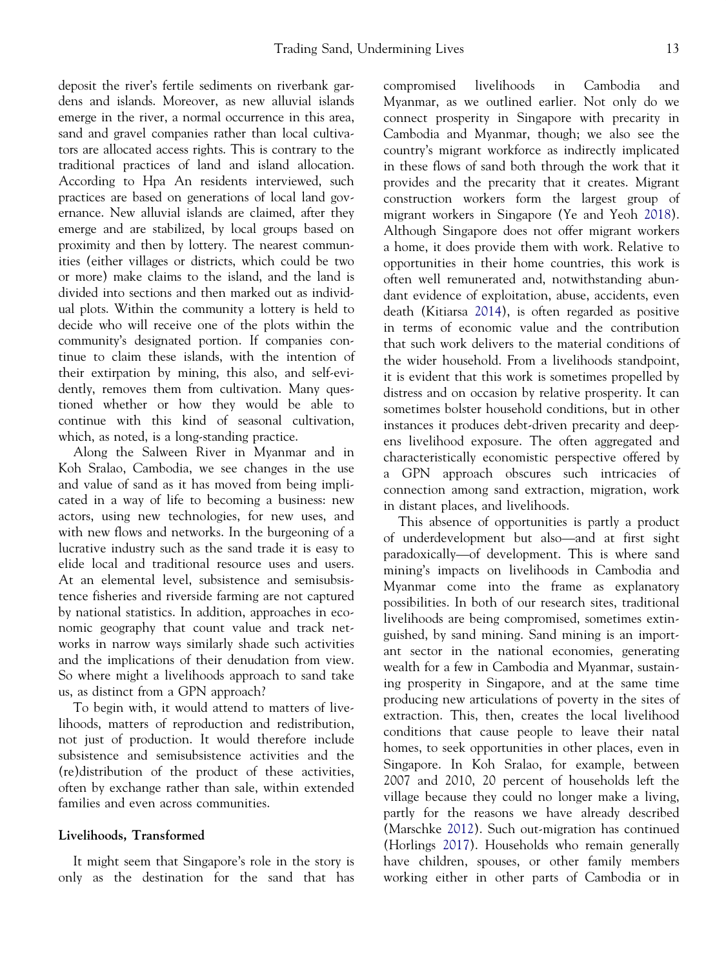deposit the river's fertile sediments on riverbank gardens and islands. Moreover, as new alluvial islands emerge in the river, a normal occurrence in this area, sand and gravel companies rather than local cultivators are allocated access rights. This is contrary to the traditional practices of land and island allocation. According to Hpa An residents interviewed, such practices are based on generations of local land governance. New alluvial islands are claimed, after they emerge and are stabilized, by local groups based on proximity and then by lottery. The nearest communities (either villages or districts, which could be two or more) make claims to the island, and the land is divided into sections and then marked out as individual plots. Within the community a lottery is held to decide who will receive one of the plots within the community's designated portion. If companies continue to claim these islands, with the intention of their extirpation by mining, this also, and self-evidently, removes them from cultivation. Many questioned whether or how they would be able to continue with this kind of seasonal cultivation, which, as noted, is a long-standing practice.

Along the Salween River in Myanmar and in Koh Sralao, Cambodia, we see changes in the use and value of sand as it has moved from being implicated in a way of life to becoming a business: new actors, using new technologies, for new uses, and with new flows and networks. In the burgeoning of a lucrative industry such as the sand trade it is easy to elide local and traditional resource uses and users. At an elemental level, subsistence and semisubsistence fisheries and riverside farming are not captured by national statistics. In addition, approaches in economic geography that count value and track networks in narrow ways similarly shade such activities and the implications of their denudation from view. So where might a livelihoods approach to sand take us, as distinct from a GPN approach?

To begin with, it would attend to matters of livelihoods, matters of reproduction and redistribution, not just of production. It would therefore include subsistence and semisubsistence activities and the (re)distribution of the product of these activities, often by exchange rather than sale, within extended families and even across communities.

#### Livelihoods, Transformed

It might seem that Singapore's role in the story is only as the destination for the sand that has

compromised livelihoods in Cambodia and Myanmar, as we outlined earlier. Not only do we connect prosperity in Singapore with precarity in Cambodia and Myanmar, though; we also see the country's migrant workforce as indirectly implicated in these flows of sand both through the work that it provides and the precarity that it creates. Migrant construction workers form the largest group of migrant workers in Singapore (Ye and Yeoh [2018\)](#page-18-0). Although Singapore does not offer migrant workers a home, it does provide them with work. Relative to opportunities in their home countries, this work is often well remunerated and, notwithstanding abundant evidence of exploitation, abuse, accidents, even death (Kitiarsa [2014](#page-17-0)), is often regarded as positive in terms of economic value and the contribution that such work delivers to the material conditions of the wider household. From a livelihoods standpoint, it is evident that this work is sometimes propelled by distress and on occasion by relative prosperity. It can sometimes bolster household conditions, but in other instances it produces debt-driven precarity and deepens livelihood exposure. The often aggregated and characteristically economistic perspective offered by a GPN approach obscures such intricacies of connection among sand extraction, migration, work in distant places, and livelihoods.

This absence of opportunities is partly a product of underdevelopment but also—and at first sight paradoxically—of development. This is where sand mining's impacts on livelihoods in Cambodia and Myanmar come into the frame as explanatory possibilities. In both of our research sites, traditional livelihoods are being compromised, sometimes extinguished, by sand mining. Sand mining is an important sector in the national economies, generating wealth for a few in Cambodia and Myanmar, sustaining prosperity in Singapore, and at the same time producing new articulations of poverty in the sites of extraction. This, then, creates the local livelihood conditions that cause people to leave their natal homes, to seek opportunities in other places, even in Singapore. In Koh Sralao, for example, between 2007 and 2010, 20 percent of households left the village because they could no longer make a living, partly for the reasons we have already described (Marschke [2012\)](#page-17-0). Such out-migration has continued (Horlings [2017](#page-17-0)). Households who remain generally have children, spouses, or other family members working either in other parts of Cambodia or in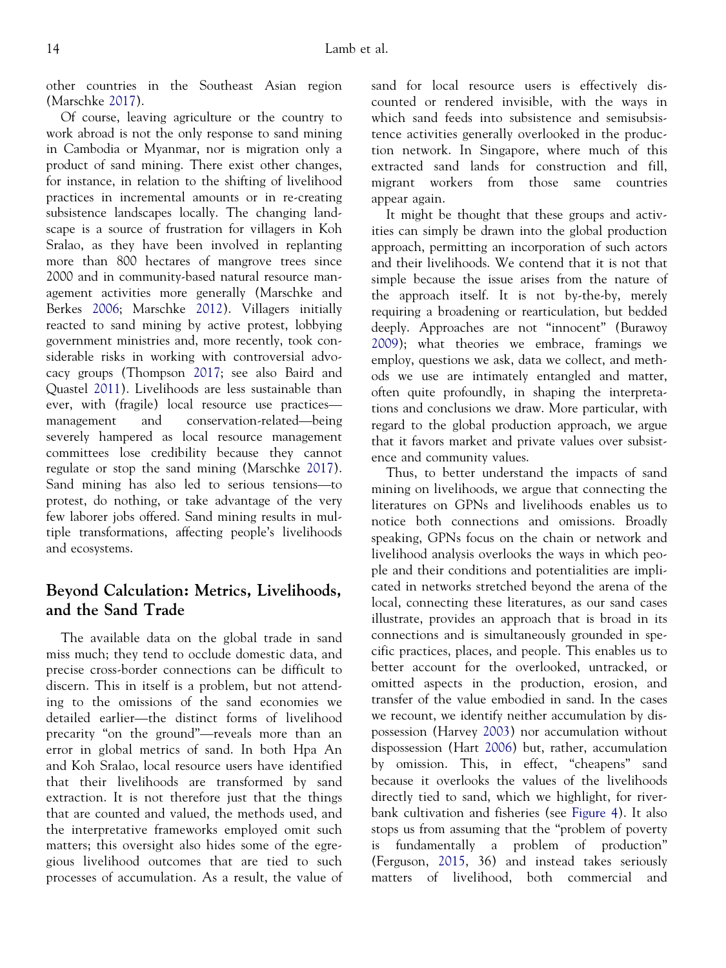other countries in the Southeast Asian region (Marschke [2017](#page-17-0)).

Of course, leaving agriculture or the country to work abroad is not the only response to sand mining in Cambodia or Myanmar, nor is migration only a product of sand mining. There exist other changes, for instance, in relation to the shifting of livelihood practices in incremental amounts or in re-creating subsistence landscapes locally. The changing landscape is a source of frustration for villagers in Koh Sralao, as they have been involved in replanting more than 800 hectares of mangrove trees since 2000 and in community-based natural resource management activities more generally (Marschke and Berkes [2006;](#page-17-0) Marschke [2012](#page-17-0)). Villagers initially reacted to sand mining by active protest, lobbying government ministries and, more recently, took considerable risks in working with controversial advocacy groups (Thompson [2017](#page-18-0); see also Baird and Quastel [2011\)](#page-16-0). Livelihoods are less sustainable than ever, with (fragile) local resource use practices management and conservation-related—being severely hampered as local resource management committees lose credibility because they cannot regulate or stop the sand mining (Marschke [2017\)](#page-17-0). Sand mining has also led to serious tensions—to protest, do nothing, or take advantage of the very few laborer jobs offered. Sand mining results in multiple transformations, affecting people's livelihoods and ecosystems.

# Beyond Calculation: Metrics, Livelihoods, and the Sand Trade

The available data on the global trade in sand miss much; they tend to occlude domestic data, and precise cross-border connections can be difficult to discern. This in itself is a problem, but not attending to the omissions of the sand economies we detailed earlier—the distinct forms of livelihood precarity "on the ground"—reveals more than an error in global metrics of sand. In both Hpa An and Koh Sralao, local resource users have identified that their livelihoods are transformed by sand extraction. It is not therefore just that the things that are counted and valued, the methods used, and the interpretative frameworks employed omit such matters; this oversight also hides some of the egregious livelihood outcomes that are tied to such processes of accumulation. As a result, the value of sand for local resource users is effectively discounted or rendered invisible, with the ways in which sand feeds into subsistence and semisubsistence activities generally overlooked in the production network. In Singapore, where much of this extracted sand lands for construction and fill, migrant workers from those same countries appear again.

It might be thought that these groups and activities can simply be drawn into the global production approach, permitting an incorporation of such actors and their livelihoods. We contend that it is not that simple because the issue arises from the nature of the approach itself. It is not by-the-by, merely requiring a broadening or rearticulation, but bedded deeply. Approaches are not "innocent" (Burawoy [2009\)](#page-16-0); what theories we embrace, framings we employ, questions we ask, data we collect, and methods we use are intimately entangled and matter, often quite profoundly, in shaping the interpretations and conclusions we draw. More particular, with regard to the global production approach, we argue that it favors market and private values over subsistence and community values.

Thus, to better understand the impacts of sand mining on livelihoods, we argue that connecting the literatures on GPNs and livelihoods enables us to notice both connections and omissions. Broadly speaking, GPNs focus on the chain or network and livelihood analysis overlooks the ways in which people and their conditions and potentialities are implicated in networks stretched beyond the arena of the local, connecting these literatures, as our sand cases illustrate, provides an approach that is broad in its connections and is simultaneously grounded in specific practices, places, and people. This enables us to better account for the overlooked, untracked, or omitted aspects in the production, erosion, and transfer of the value embodied in sand. In the cases we recount, we identify neither accumulation by dispossession (Harvey [2003](#page-17-0)) nor accumulation without dispossession (Hart [2006\)](#page-17-0) but, rather, accumulation by omission. This, in effect, "cheapens" sand because it overlooks the values of the livelihoods directly tied to sand, which we highlight, for riverbank cultivation and fisheries (see [Figure 4\)](#page-9-0). It also stops us from assuming that the "problem of poverty is fundamentally a problem of production" (Ferguson, [2015,](#page-17-0) 36) and instead takes seriously matters of livelihood, both commercial and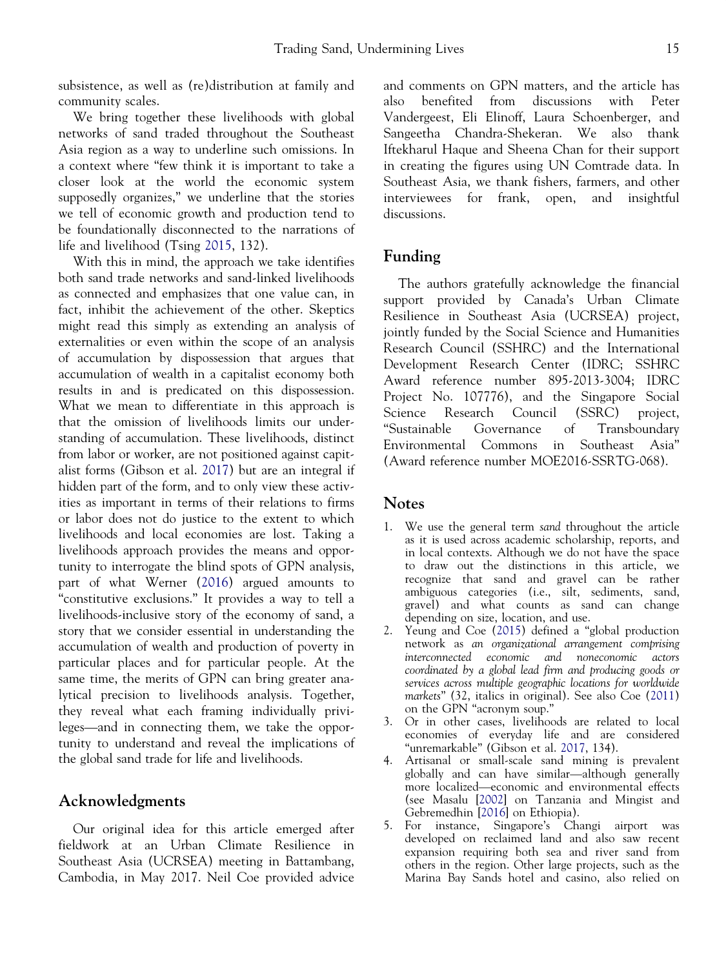<span id="page-15-0"></span>subsistence, as well as (re)distribution at family and community scales.

We bring together these livelihoods with global networks of sand traded throughout the Southeast Asia region as a way to underline such omissions. In a context where "few think it is important to take a closer look at the world the economic system supposedly organizes," we underline that the stories we tell of economic growth and production tend to be foundationally disconnected to the narrations of life and livelihood (Tsing [2015,](#page-18-0) 132).

With this in mind, the approach we take identifies both sand trade networks and sand-linked livelihoods as connected and emphasizes that one value can, in fact, inhibit the achievement of the other. Skeptics might read this simply as extending an analysis of externalities or even within the scope of an analysis of accumulation by dispossession that argues that accumulation of wealth in a capitalist economy both results in and is predicated on this dispossession. What we mean to differentiate in this approach is that the omission of livelihoods limits our understanding of accumulation. These livelihoods, distinct from labor or worker, are not positioned against capitalist forms (Gibson et al. [2017](#page-17-0)) but are an integral if hidden part of the form, and to only view these activities as important in terms of their relations to firms or labor does not do justice to the extent to which livelihoods and local economies are lost. Taking a livelihoods approach provides the means and opportunity to interrogate the blind spots of GPN analysis, part of what Werner ([2016\)](#page-18-0) argued amounts to "constitutive exclusions." It provides a way to tell a livelihoods-inclusive story of the economy of sand, a story that we consider essential in understanding the accumulation of wealth and production of poverty in particular places and for particular people. At the same time, the merits of GPN can bring greater analytical precision to livelihoods analysis. Together, they reveal what each framing individually privileges—and in connecting them, we take the opportunity to understand and reveal the implications of the global sand trade for life and livelihoods.

# Acknowledgments

Our original idea for this article emerged after fieldwork at an Urban Climate Resilience in Southeast Asia (UCRSEA) meeting in Battambang, Cambodia, in May 2017. Neil Coe provided advice and comments on GPN matters, and the article has also benefited from discussions with Peter Vandergeest, Eli Elinoff, Laura Schoenberger, and Sangeetha Chandra-Shekeran. We also thank Iftekharul Haque and Sheena Chan for their support in creating the figures using UN Comtrade data. In Southeast Asia, we thank fishers, farmers, and other interviewees for frank, open, and insightful discussions.

## Funding

The authors gratefully acknowledge the financial support provided by Canada's Urban Climate Resilience in Southeast Asia (UCRSEA) project, jointly funded by the Social Science and Humanities Research Council (SSHRC) and the International Development Research Center (IDRC; SSHRC Award reference number 895-2013-3004; IDRC Project No. 107776), and the Singapore Social Science Research Council (SSRC) project, "Sustainable Governance of Transboundary Environmental Commons in Southeast Asia" (Award reference number MOE2016-SSRTG-068).

## Notes

- 1. We use the general term sand throughout the article as it is used across academic scholarship, reports, and in local contexts. Although we do not have the space to draw out the distinctions in this article, we recognize that sand and gravel can be rather ambiguous categories (i.e., silt, sediments, sand, gravel) and what counts as sand can change depending on size, location, and use.
- 2. Yeung and Coe [\(2015](#page-18-0)) defined a "global production network as an organizational arrangement comprising interconnected economic and noneconomic actors coordinated by a global lead firm and producing goods or services across multiple geographic locations for worldwide markets" (32, italics in original). See also Coe [\(2011](#page-16-0)) on the GPN "acronym soup."
- 3. Or in other cases, livelihoods are related to local economies of everyday life and are considered "unremarkable" (Gibson et al. [2017,](#page-17-0) 134).
- 4. Artisanal or small-scale sand mining is prevalent globally and can have similar—although generally more localized—economic and environmental effects (see Masalu [\[2002](#page-17-0)] on Tanzania and Mingist and Gebremedhin [[2016\]](#page-17-0) on Ethiopia).
- 5. For instance, Singapore's Changi airport was developed on reclaimed land and also saw recent expansion requiring both sea and river sand from others in the region. Other large projects, such as the Marina Bay Sands hotel and casino, also relied on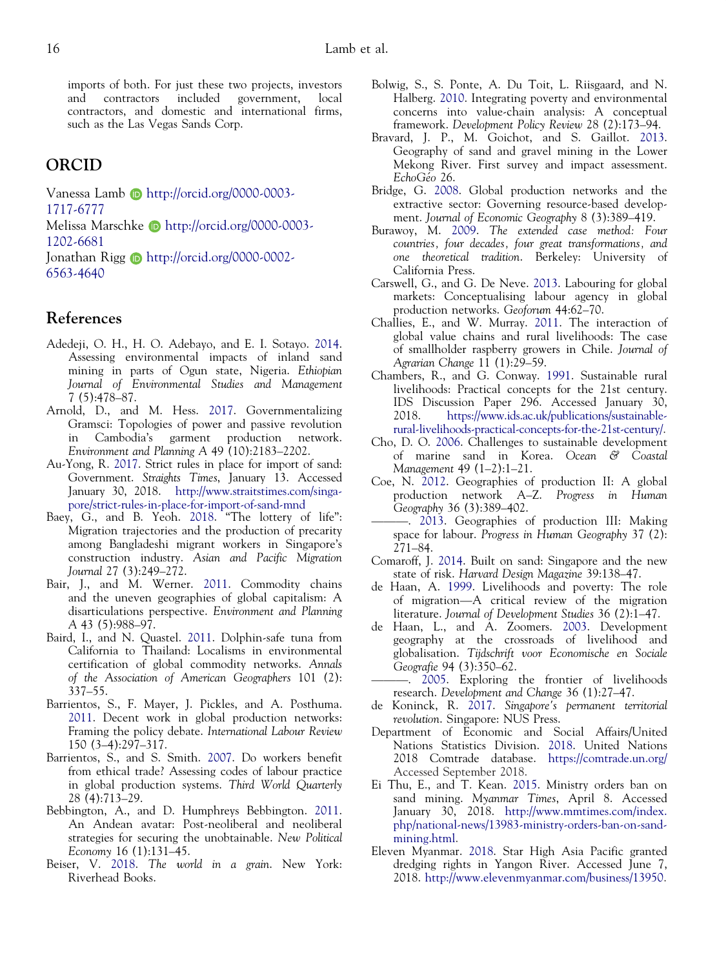<span id="page-16-0"></span>imports of both. For just these two projects, investors and contractors included government, local contractors, and domestic and international firms, such as the Las Vegas Sands Corp.

# ORCID

Vanessa Lamb **D** http://orcid.org/0000-0003-

1717-6777

Melissa Marschke **b** http://orcid.org/0000-0003-1202-6681

Jonathan Rigg **b** http://orcid.org/0000-0002-6563-4640

# References

- Adedeji, O. H., H. O. Adebayo, and E. I. Sotayo. 2014. Assessing environmental impacts of inland sand mining in parts of Ogun state, Nigeria. Ethiopian Journal of Environmental Studies and Management 7 (5):478–87.
- Arnold, D., and M. Hess. 2017. Governmentalizing Gramsci: Topologies of power and passive revolution in Cambodia's garment production network. Environment and Planning A 49 (10):2183–2202.
- Au-Yong, R. 2017. Strict rules in place for import of sand: Government. Straights Times, January 13. Accessed January 30, 2018. [http://www.straitstimes.com/singa](http://www.straitstimes.com/singapore/strict-rules-in-place-for-import-of-sand-mnd)[pore/strict-rules-in-place-for-import-of-sand-mnd](http://www.straitstimes.com/singapore/strict-rules-in-place-for-import-of-sand-mnd)
- Baey, G., and B. Yeoh. 2018. "The lottery of life": Migration trajectories and the production of precarity among Bangladeshi migrant workers in Singapore's construction industry. Asian and Pacific Migration Journal 27 (3):249–272.
- Bair, J., and M. Werner. 2011. Commodity chains and the uneven geographies of global capitalism: A disarticulations perspective. Environment and Planning A 43 (5):988–97.
- Baird, I., and N. Quastel. 2011. Dolphin-safe tuna from California to Thailand: Localisms in environmental certification of global commodity networks. Annals of the Association of American Geographers 101 (2): 337–55.
- Barrientos, S., F. Mayer, J. Pickles, and A. Posthuma. 2011. Decent work in global production networks: Framing the policy debate. International Labour Review 150 (3–4):297–317.
- Barrientos, S., and S. Smith. 2007. Do workers benefit from ethical trade? Assessing codes of labour practice in global production systems. Third World Quarterly 28 (4):713–29.
- Bebbington, A., and D. Humphreys Bebbington. 2011. An Andean avatar: Post-neoliberal and neoliberal strategies for securing the unobtainable. New Political Economy 16 (1):131–45.
- Beiser, V. 2018. The world in a grain. New York: Riverhead Books.
- Bolwig, S., S. Ponte, A. Du Toit, L. Riisgaard, and N. Halberg. 2010. Integrating poverty and environmental concerns into value-chain analysis: A conceptual framework. Development Policy Review 28 (2):173–94.
- Bravard, J. P., M. Goichot, and S. Gaillot. 2013. Geography of sand and gravel mining in the Lower Mekong River. First survey and impact assessment. EchoGéo 26.
- Bridge, G. 2008. Global production networks and the extractive sector: Governing resource-based development. Journal of Economic Geography 8 (3):389–419.
- Burawoy, M. 2009. The extended case method: Four countries, four decades, four great transformations, and one theoretical tradition. Berkeley: University of California Press.
- Carswell, G., and G. De Neve. 2013. Labouring for global markets: Conceptualising labour agency in global production networks. Geoforum 44:62–70.
- Challies, E., and W. Murray. 2011. The interaction of global value chains and rural livelihoods: The case of smallholder raspberry growers in Chile. Journal of Agrarian Change 11 (1):29–59.
- Chambers, R., and G. Conway. 1991. Sustainable rural livelihoods: Practical concepts for the 21st century. IDS Discussion Paper 296. Accessed January 30, 2018. [https://www.ids.ac.uk/publications/sustainable](https://www.ids.ac.uk/publications/sustainable-rural-livelihoods-practical-concepts-for-the-21st-century/)[rural-livelihoods-practical-concepts-for-the-21st-century/](https://www.ids.ac.uk/publications/sustainable-rural-livelihoods-practical-concepts-for-the-21st-century/).
- Cho, D. O. 2006. Challenges to sustainable development of marine sand in Korea. Ocean & Coastal Management 49 (1–2):1–21.
- Coe, N. 2012. Geographies of production II: A global production network A–Z. Progress in Human Geography 36 (3):389–402.
- ———. 2013. Geographies of production III: Making space for labour. Progress in Human Geography 37 (2): 271–84.
- Comaroff, J. 2014. Built on sand: Singapore and the new state of risk. Harvard Design Magazine 39:138–47.
- de Haan, A. 1999. Livelihoods and poverty: The role of migration—A critical review of the migration literature. Journal of Development Studies 36 (2):1–47.
- de Haan, L., and A. Zoomers. 2003. Development geography at the crossroads of livelihood and globalisation. Tijdschrift voor Economische en Sociale Geografie 94 (3):350–62.
- 2005. Exploring the frontier of livelihoods research. Development and Change 36 (1):27–47.
- de Koninck, R. 2017. Singapore's permanent territorial revolution. Singapore: NUS Press.
- Department of Economic and Social Affairs/United Nations Statistics Division. 2018. United Nations 2018 Comtrade database. <https://comtrade.un.org/> Accessed September 2018.
- Ei Thu, E., and T. Kean. 2015. Ministry orders ban on sand mining. Myanmar Times, April 8. Accessed January 30, 2018. [http://www.mmtimes.com/index.](http://www.mmtimes.com/index.php/national-news/13983-ministry-orders-ban-on-sand-mining.html) [php/national-news/13983-ministry-orders-ban-on-sand](http://www.mmtimes.com/index.php/national-news/13983-ministry-orders-ban-on-sand-mining.html)[mining.html.](http://www.mmtimes.com/index.php/national-news/13983-ministry-orders-ban-on-sand-mining.html)
- Eleven Myanmar. 2018. Star High Asia Pacific granted dredging rights in Yangon River. Accessed June 7, 2018. <http://www.elevenmyanmar.com/business/13950>.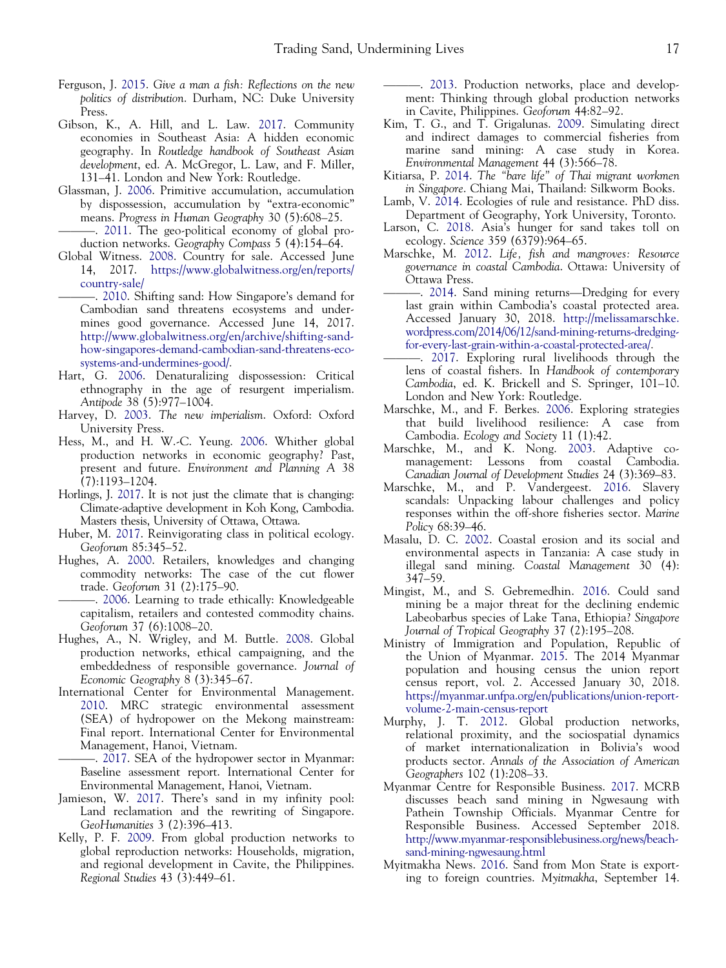- <span id="page-17-0"></span>Ferguson, J. 2015. Give a man a fish: Reflections on the new politics of distribution. Durham, NC: Duke University Press.
- Gibson, K., A. Hill, and L. Law. 2017. Community economies in Southeast Asia: A hidden economic geography. In Routledge handbook of Southeast Asian development, ed. A. McGregor, L. Law, and F. Miller, 131–41. London and New York: Routledge.
- Glassman, J. 2006. Primitive accumulation, accumulation by dispossession, accumulation by "extra-economic" means. Progress in Human Geography 30 (5):608–25.
- -. 2011. The geo-political economy of global production networks. Geography Compass 5 (4):154–64.
- Global Witness. 2008. Country for sale. Accessed June 14, 2017. [https://www.globalwitness.org/en/reports/](https://www.globalwitness.org/en/reports/country-sale/) [country-sale/](https://www.globalwitness.org/en/reports/country-sale/)
	- ———. 2010. Shifting sand: How Singapore's demand for Cambodian sand threatens ecosystems and undermines good governance. Accessed June 14, 2017. [http://www.globalwitness.org/en/archive/shifting-sand](http://www.globalwitness.org/en/archive/shifting-sand-how-singapores-demand-cambodian-sand-threatens-ecosystems-and-undermines-good/)[how-singapores-demand-cambodian-sand-threatens-eco](http://www.globalwitness.org/en/archive/shifting-sand-how-singapores-demand-cambodian-sand-threatens-ecosystems-and-undermines-good/)[systems-and-undermines-good/](http://www.globalwitness.org/en/archive/shifting-sand-how-singapores-demand-cambodian-sand-threatens-ecosystems-and-undermines-good/).
- Hart, G. 2006. Denaturalizing dispossession: Critical ethnography in the age of resurgent imperialism. Antipode 38 (5):977–1004.
- Harvey, D. 2003. The new imperialism. Oxford: Oxford University Press.
- Hess, M., and H. W.-C. Yeung. 2006. Whither global production networks in economic geography? Past, present and future. Environment and Planning A 38 (7):1193–1204.
- Horlings, J. 2017. It is not just the climate that is changing: Climate-adaptive development in Koh Kong, Cambodia. Masters thesis, University of Ottawa, Ottawa.
- Huber, M. 2017. Reinvigorating class in political ecology. Geoforum 85:345–52.
- Hughes, A. 2000. Retailers, knowledges and changing commodity networks: The case of the cut flower trade. Geoforum 31 (2):175–90.

———. 2006. Learning to trade ethically: Knowledgeable capitalism, retailers and contested commodity chains. Geoforum 37 (6):1008–20.

- Hughes, A., N. Wrigley, and M. Buttle. 2008. Global production networks, ethical campaigning, and the embeddedness of responsible governance. Journal of Economic Geography 8 (3):345–67.
- International Center for Environmental Management. 2010. MRC strategic environmental assessment (SEA) of hydropower on the Mekong mainstream: Final report. International Center for Environmental Management, Hanoi, Vietnam.

-. 2017. SEA of the hydropower sector in Myanmar: Baseline assessment report. International Center for Environmental Management, Hanoi, Vietnam.

- Jamieson, W. 2017. There's sand in my infinity pool: Land reclamation and the rewriting of Singapore. GeoHumanities 3 (2):396–413.
- Kelly, P. F. 2009. From global production networks to global reproduction networks: Households, migration, and regional development in Cavite, the Philippines. Regional Studies 43 (3):449–61.

———. 2013. Production networks, place and development: Thinking through global production networks in Cavite, Philippines. Geoforum 44:82–92.

- Kim, T. G., and T. Grigalunas. 2009. Simulating direct and indirect damages to commercial fisheries from marine sand mining: A case study in Korea. Environmental Management 44 (3):566–78.
- Kitiarsa, P. 2014. The "bare life" of Thai migrant workmen in Singapore. Chiang Mai, Thailand: Silkworm Books.
- Lamb, V. 2014. Ecologies of rule and resistance. PhD diss. Department of Geography, York University, Toronto.
- Larson, C. 2018. Asia's hunger for sand takes toll on ecology. Science 359 (6379):964–65.
- Marschke, M. 2012. Life, fish and mangroves: Resource governance in coastal Cambodia. Ottawa: University of Ottawa Press.

-. 2014. Sand mining returns—Dredging for every last grain within Cambodia's coastal protected area. Accessed January 30, 2018. [http://melissamarschke.](http://melissamarschke.wordpress.com/2014/06/12/sand-mining-returns-dredging-for-every-last-grain-within-a-coastal-protected-area/) [wordpress.com/2014/06/12/sand-mining-returns-dredging](http://melissamarschke.wordpress.com/2014/06/12/sand-mining-returns-dredging-for-every-last-grain-within-a-coastal-protected-area/)[for-every-last-grain-within-a-coastal-protected-area/](http://melissamarschke.wordpress.com/2014/06/12/sand-mining-returns-dredging-for-every-last-grain-within-a-coastal-protected-area/).

- . 2017. Exploring rural livelihoods through the lens of coastal fishers. In Handbook of contemporary Cambodia, ed. K. Brickell and S. Springer, 101–10. London and New York: Routledge.
- Marschke, M., and F. Berkes. 2006. Exploring strategies that build livelihood resilience: A case from Cambodia. Ecology and Society 11 (1):42.
- Marschke, M., and K. Nong. 2003. Adaptive comanagement: Lessons from coastal Cambodia. Canadian Journal of Development Studies 24 (3):369–83.
- Marschke, M., and P. Vandergeest. 2016. Slavery scandals: Unpacking labour challenges and policy responses within the off-shore fisheries sector. Marine Policy 68:39–46.
- Masalu, D. C. 2002. Coastal erosion and its social and environmental aspects in Tanzania: A case study in illegal sand mining. Coastal Management 30 (4): 347–59.
- Mingist, M., and S. Gebremedhin. 2016. Could sand mining be a major threat for the declining endemic Labeobarbus species of Lake Tana, Ethiopia? Singapore Journal of Tropical Geography 37 (2):195–208.
- Ministry of Immigration and Population, Republic of the Union of Myanmar. 2015. The 2014 Myanmar population and housing census the union report census report, vol. 2. Accessed January 30, 2018. [https://myanmar.unfpa.org/en/publications/union-report](https://myanmar.unfpa.org/en/publications/union-report-volume-2-main-census-report)[volume-2-main-census-report](https://myanmar.unfpa.org/en/publications/union-report-volume-2-main-census-report)
- Murphy, J. T. 2012. Global production networks, relational proximity, and the sociospatial dynamics of market internationalization in Bolivia's wood products sector. Annals of the Association of American Geographers 102 (1):208–33.
- Myanmar Centre for Responsible Business. 2017. MCRB discusses beach sand mining in Ngwesaung with Pathein Township Officials. Myanmar Centre for Responsible Business. Accessed September 2018. [http://www.myanmar-responsiblebusiness.org/news/beach](http://www.myanmar-responsiblebusiness.org/news/beach-sand-mining-ngwesaung.html)[sand-mining-ngwesaung.html](http://www.myanmar-responsiblebusiness.org/news/beach-sand-mining-ngwesaung.html)
- Myitmakha News. 2016. Sand from Mon State is exporting to foreign countries. Myitmakha, September 14.